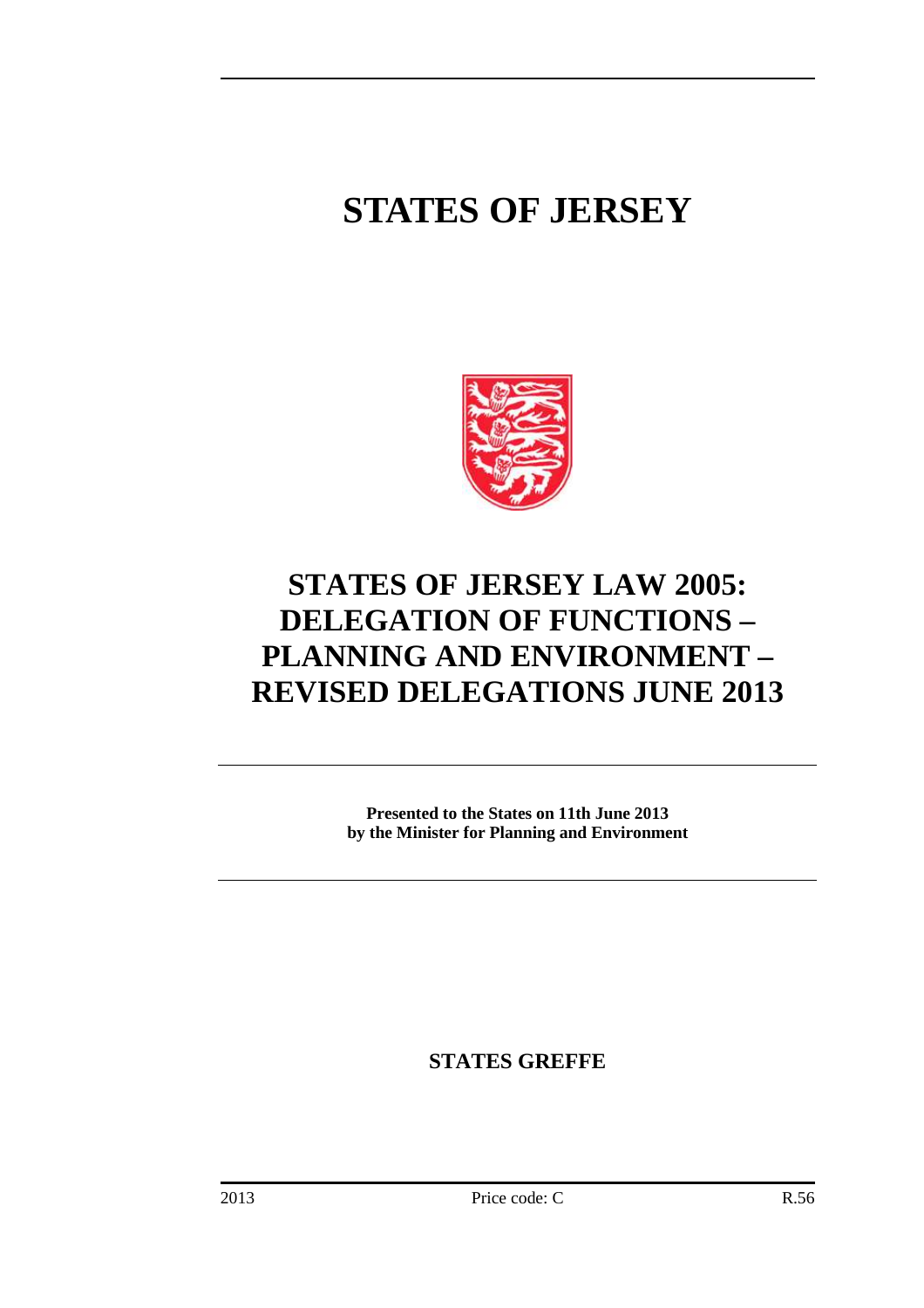# **STATES OF JERSEY**



## **STATES OF JERSEY LAW 2005: DELEGATION OF FUNCTIONS – PLANNING AND ENVIRONMENT – REVISED DELEGATIONS JUNE 2013**

**Presented to the States on 11th June 2013 by the Minister for Planning and Environment** 

**STATES GREFFE**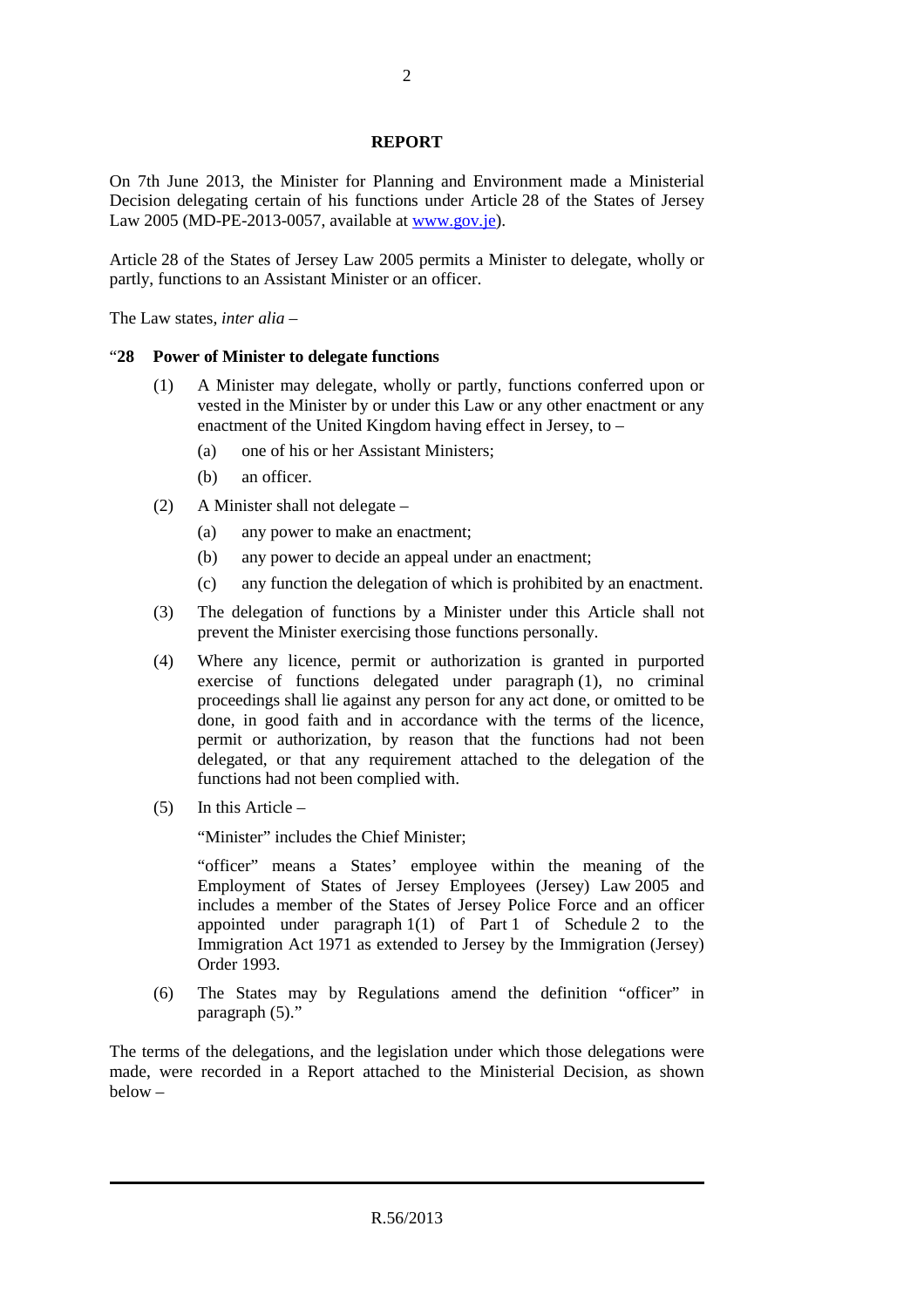#### **REPORT**

On 7th June 2013, the Minister for Planning and Environment made a Ministerial Decision delegating certain of his functions under Article 28 of the States of Jersey Law 2005 (MD-PE-2013-0057, available at www.gov.je).

Article 28 of the States of Jersey Law 2005 permits a Minister to delegate, wholly or partly, functions to an Assistant Minister or an officer.

The Law states, *inter alia* –

#### "**28 Power of Minister to delegate functions**

- (1) A Minister may delegate, wholly or partly, functions conferred upon or vested in the Minister by or under this Law or any other enactment or any enactment of the United Kingdom having effect in Jersey, to –
	- (a) one of his or her Assistant Ministers;
	- (b) an officer.
- (2) A Minister shall not delegate
	- (a) any power to make an enactment;
	- (b) any power to decide an appeal under an enactment;
	- (c) any function the delegation of which is prohibited by an enactment.
- (3) The delegation of functions by a Minister under this Article shall not prevent the Minister exercising those functions personally.
- (4) Where any licence, permit or authorization is granted in purported exercise of functions delegated under paragraph (1), no criminal proceedings shall lie against any person for any act done, or omitted to be done, in good faith and in accordance with the terms of the licence, permit or authorization, by reason that the functions had not been delegated, or that any requirement attached to the delegation of the functions had not been complied with.
- (5) In this Article –

"Minister" includes the Chief Minister;

"officer" means a States' employee within the meaning of the Employment of States of Jersey Employees (Jersey) Law 2005 and includes a member of the States of Jersey Police Force and an officer appointed under paragraph 1(1) of Part 1 of Schedule 2 to the Immigration Act 1971 as extended to Jersey by the Immigration (Jersey) Order 1993.

(6) The States may by Regulations amend the definition "officer" in paragraph (5)."

The terms of the delegations, and the legislation under which those delegations were made, were recorded in a Report attached to the Ministerial Decision, as shown below –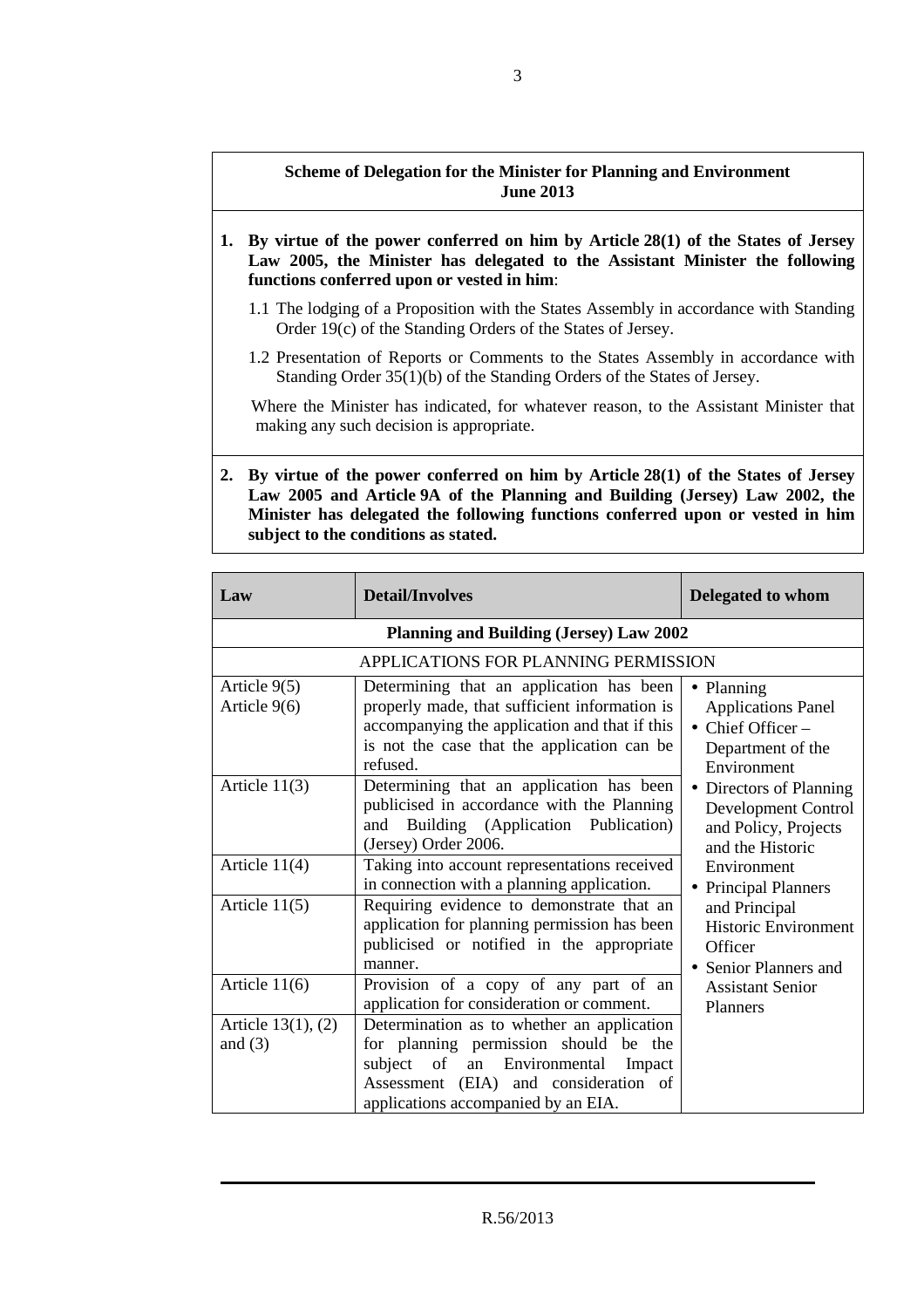### **Scheme of Delegation for the Minister for Planning and Environment June 2013**

- **1. By virtue of the power conferred on him by Article 28(1) of the States of Jersey Law 2005, the Minister has delegated to the Assistant Minister the following functions conferred upon or vested in him**:
	- 1.1 The lodging of a Proposition with the States Assembly in accordance with Standing Order 19(c) of the Standing Orders of the States of Jersey.
	- 1.2 Presentation of Reports or Comments to the States Assembly in accordance with Standing Order 35(1)(b) of the Standing Orders of the States of Jersey.

Where the Minister has indicated, for whatever reason, to the Assistant Minister that making any such decision is appropriate.

**2. By virtue of the power conferred on him by Article 28(1) of the States of Jersey Law 2005 and Article 9A of the Planning and Building (Jersey) Law 2002, the Minister has delegated the following functions conferred upon or vested in him subject to the conditions as stated.** 

| Law                                  | <b>Detail/Involves</b>                                                                                                                                                                                          | <b>Delegated to whom</b>                                                                                                                                                                                                                                                    |
|--------------------------------------|-----------------------------------------------------------------------------------------------------------------------------------------------------------------------------------------------------------------|-----------------------------------------------------------------------------------------------------------------------------------------------------------------------------------------------------------------------------------------------------------------------------|
|                                      | <b>Planning and Building (Jersey) Law 2002</b>                                                                                                                                                                  |                                                                                                                                                                                                                                                                             |
|                                      | APPLICATIONS FOR PLANNING PERMISSION                                                                                                                                                                            |                                                                                                                                                                                                                                                                             |
| Article $9(5)$<br>Article $9(6)$     | Determining that an application has been<br>properly made, that sufficient information is<br>accompanying the application and that if this<br>is not the case that the application can be<br>refused.           | • Planning<br><b>Applications Panel</b><br>$\bullet$ Chief Officer –<br>Department of the                                                                                                                                                                                   |
| Article $11(3)$                      | Determining that an application has been<br>publicised in accordance with the Planning<br>Building (Application Publication)<br>and<br>(Jersey) Order 2006.                                                     | Environment<br>• Directors of Planning<br>Development Control<br>and Policy, Projects<br>and the Historic<br>Environment<br>• Principal Planners<br>and Principal<br><b>Historic Environment</b><br>Officer<br>• Senior Planners and<br><b>Assistant Senior</b><br>Planners |
| Article $11(4)$                      | Taking into account representations received<br>in connection with a planning application.                                                                                                                      |                                                                                                                                                                                                                                                                             |
| Article $11(5)$                      | Requiring evidence to demonstrate that an<br>application for planning permission has been<br>publicised or notified in the appropriate<br>manner.                                                               |                                                                                                                                                                                                                                                                             |
| Article $11(6)$                      | Provision of a copy of any part of an<br>application for consideration or comment.                                                                                                                              |                                                                                                                                                                                                                                                                             |
| Article $13(1)$ , $(2)$<br>and $(3)$ | Determination as to whether an application<br>for planning permission should be the<br>subject of<br>an Environmental<br>Impact<br>Assessment (EIA) and consideration of<br>applications accompanied by an EIA. |                                                                                                                                                                                                                                                                             |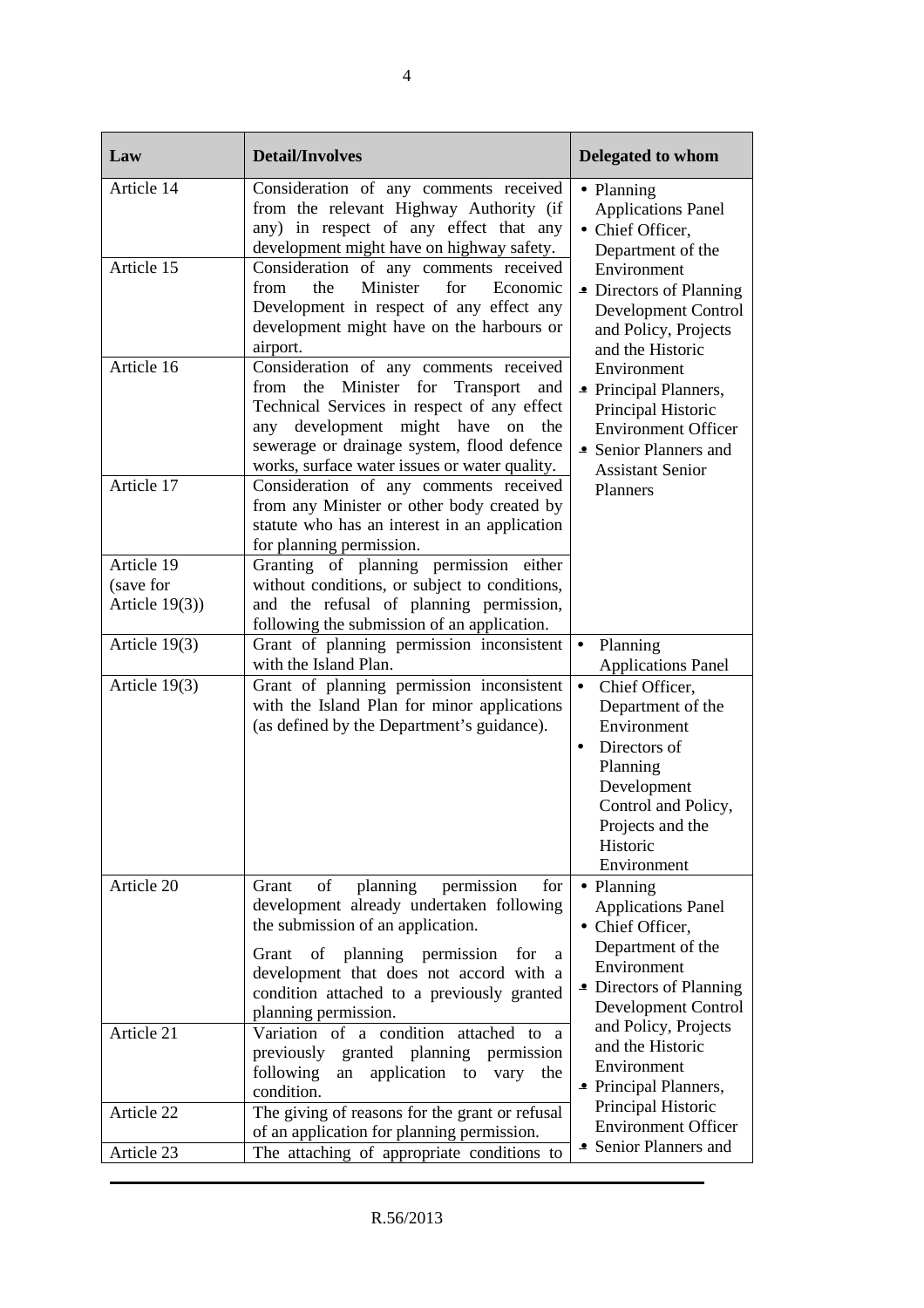| Law               | <b>Detail/Involves</b>                                                                                                                                                                                                                                                                                | <b>Delegated to whom</b>                                                                                                                                                                      |
|-------------------|-------------------------------------------------------------------------------------------------------------------------------------------------------------------------------------------------------------------------------------------------------------------------------------------------------|-----------------------------------------------------------------------------------------------------------------------------------------------------------------------------------------------|
| Article 14        | Consideration of any comments received<br>from the relevant Highway Authority (if<br>any) in respect of any effect that any<br>development might have on highway safety.                                                                                                                              | • Planning<br><b>Applications Panel</b><br>• Chief Officer,<br>Department of the                                                                                                              |
| Article 15        | Consideration of any comments received<br>Minister<br>from<br>the<br>for<br>Economic<br>Development in respect of any effect any<br>development might have on the harbours or<br>airport.                                                                                                             | Environment<br>• Directors of Planning<br><b>Development Control</b><br>and Policy, Projects<br>and the Historic                                                                              |
| Article 16        | Consideration of any comments received<br>from the Minister for Transport<br>and<br>Technical Services in respect of any effect<br>development might have<br>any<br>on<br>the<br>sewerage or drainage system, flood defence<br>works, surface water issues or water quality.                          | Environment<br>• Principal Planners,<br>Principal Historic<br><b>Environment Officer</b><br>• Senior Planners and<br><b>Assistant Senior</b>                                                  |
| Article 17        | Consideration of any comments received<br>from any Minister or other body created by<br>statute who has an interest in an application<br>for planning permission.                                                                                                                                     | Planners                                                                                                                                                                                      |
| Article 19        | Granting of planning permission either                                                                                                                                                                                                                                                                |                                                                                                                                                                                               |
| (save for         | without conditions, or subject to conditions,                                                                                                                                                                                                                                                         |                                                                                                                                                                                               |
| Article $19(3)$ ) | and the refusal of planning permission,<br>following the submission of an application.                                                                                                                                                                                                                |                                                                                                                                                                                               |
| Article 19(3)     | Grant of planning permission inconsistent<br>with the Island Plan.                                                                                                                                                                                                                                    | Planning<br>$\bullet$<br><b>Applications Panel</b>                                                                                                                                            |
| Article 19(3)     | Grant of planning permission inconsistent<br>with the Island Plan for minor applications<br>(as defined by the Department's guidance).                                                                                                                                                                | $\bullet$<br>Chief Officer,<br>Department of the<br>Environment<br>Directors of<br>$\bullet$<br>Planning<br>Development<br>Control and Policy,<br>Projects and the<br>Historic<br>Environment |
| Article 20        | planning<br>permission<br>Grant<br>of<br>for<br>development already undertaken following<br>the submission of an application.<br>Grant of planning permission<br>for<br><sub>a</sub><br>development that does not accord with a<br>condition attached to a previously granted<br>planning permission. | • Planning<br><b>Applications Panel</b><br>• Chief Officer,<br>Department of the<br>Environment<br>• Directors of Planning<br>Development Control                                             |
| Article 21        | Variation of a condition<br>attached to a<br>previously<br>granted planning<br>permission<br>application to<br>following<br>vary the<br>an<br>condition.                                                                                                                                              | and Policy, Projects<br>and the Historic<br>Environment<br>• Principal Planners,                                                                                                              |
| Article 22        | The giving of reasons for the grant or refusal<br>of an application for planning permission.                                                                                                                                                                                                          | Principal Historic<br><b>Environment Officer</b>                                                                                                                                              |
| Article 23        | The attaching of appropriate conditions to                                                                                                                                                                                                                                                            | • Senior Planners and                                                                                                                                                                         |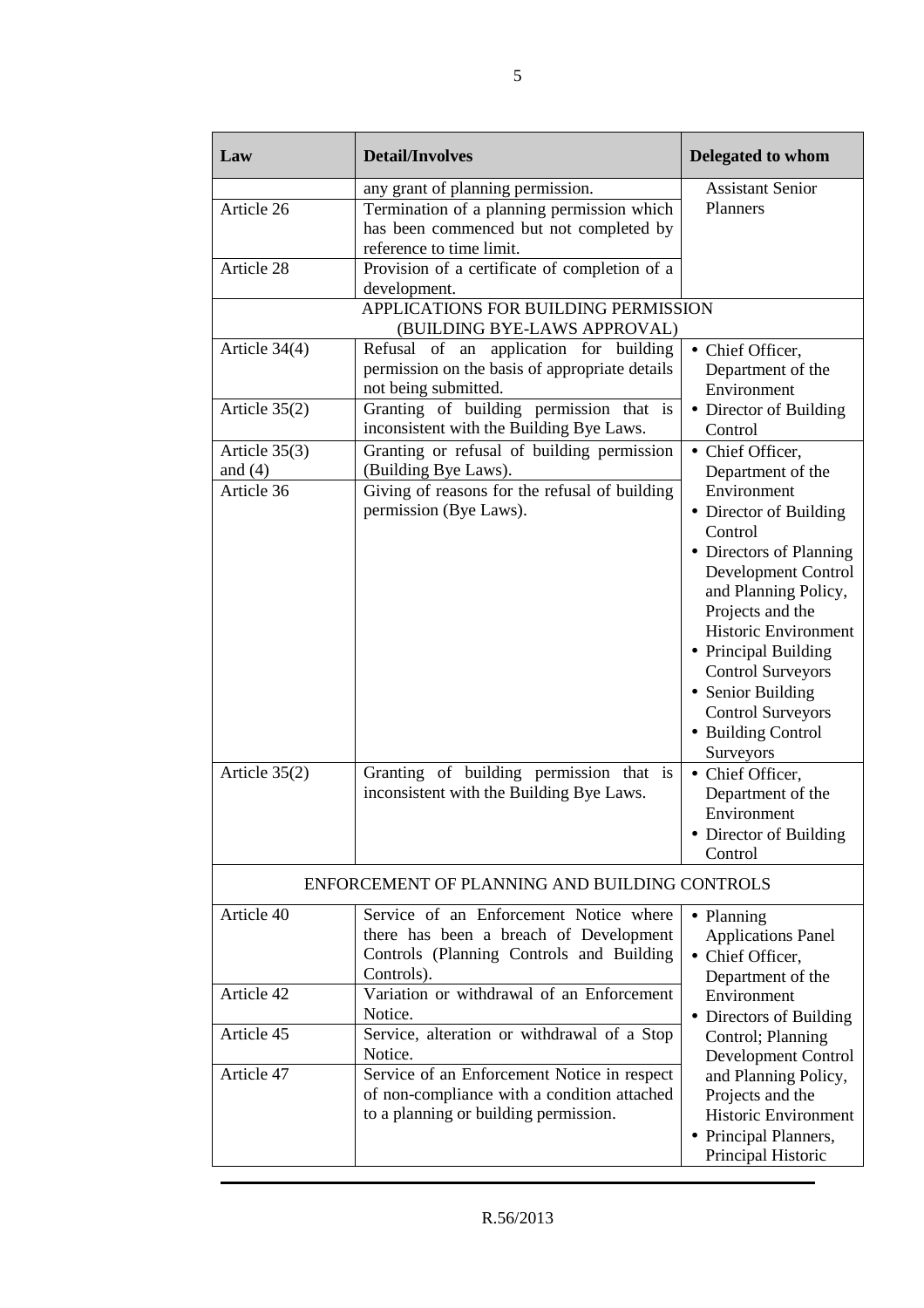| Law                                                           | <b>Detail/Involves</b>                                                                                                                                                                                                               | Delegated to whom                                                                                                                                                                                                                                                                                                                                                                                                                                |
|---------------------------------------------------------------|--------------------------------------------------------------------------------------------------------------------------------------------------------------------------------------------------------------------------------------|--------------------------------------------------------------------------------------------------------------------------------------------------------------------------------------------------------------------------------------------------------------------------------------------------------------------------------------------------------------------------------------------------------------------------------------------------|
| Article 26<br>Article 28                                      | any grant of planning permission.<br>Termination of a planning permission which<br>has been commenced but not completed by<br>reference to time limit.<br>Provision of a certificate of completion of a                              | <b>Assistant Senior</b><br>Planners                                                                                                                                                                                                                                                                                                                                                                                                              |
|                                                               | development.<br>APPLICATIONS FOR BUILDING PERMISSION<br>(BUILDING BYE-LAWS APPROVAL)                                                                                                                                                 |                                                                                                                                                                                                                                                                                                                                                                                                                                                  |
| Article 34(4)                                                 | Refusal of an application for building<br>permission on the basis of appropriate details<br>not being submitted.                                                                                                                     | • Chief Officer,<br>Department of the<br>Environment                                                                                                                                                                                                                                                                                                                                                                                             |
| Article $35(2)$                                               | Granting of building permission that is<br>inconsistent with the Building Bye Laws.                                                                                                                                                  | • Director of Building<br>Control                                                                                                                                                                                                                                                                                                                                                                                                                |
| Article $35(3)$<br>and $(4)$<br>Article 36<br>Article $35(2)$ | Granting or refusal of building permission<br>(Building Bye Laws).<br>Giving of reasons for the refusal of building<br>permission (Bye Laws).<br>Granting of building permission that is<br>inconsistent with the Building Bye Laws. | • Chief Officer,<br>Department of the<br>Environment<br>• Director of Building<br>Control<br>• Directors of Planning<br>Development Control<br>and Planning Policy,<br>Projects and the<br><b>Historic Environment</b><br>• Principal Building<br><b>Control Surveyors</b><br>• Senior Building<br><b>Control Surveyors</b><br>• Building Control<br>Surveyors<br>• Chief Officer,<br>Department of the<br>Environment<br>• Director of Building |
|                                                               | ENFORCEMENT OF PLANNING AND BUILDING CONTROLS                                                                                                                                                                                        | Control                                                                                                                                                                                                                                                                                                                                                                                                                                          |
| Article 40                                                    | Service of an Enforcement Notice where<br>there has been a breach of Development<br>Controls (Planning Controls and Building<br>Controls).                                                                                           | • Planning<br><b>Applications Panel</b><br>• Chief Officer,<br>Department of the                                                                                                                                                                                                                                                                                                                                                                 |
| Article 42                                                    | Variation or withdrawal of an Enforcement<br>Notice.                                                                                                                                                                                 | Environment<br>• Directors of Building                                                                                                                                                                                                                                                                                                                                                                                                           |
| Article 45                                                    | Service, alteration or withdrawal of a Stop<br>Notice.                                                                                                                                                                               | Control; Planning<br>Development Control                                                                                                                                                                                                                                                                                                                                                                                                         |
| Article 47                                                    | Service of an Enforcement Notice in respect<br>of non-compliance with a condition attached<br>to a planning or building permission.                                                                                                  | and Planning Policy,<br>Projects and the<br>Historic Environment<br>• Principal Planners,<br>Principal Historic                                                                                                                                                                                                                                                                                                                                  |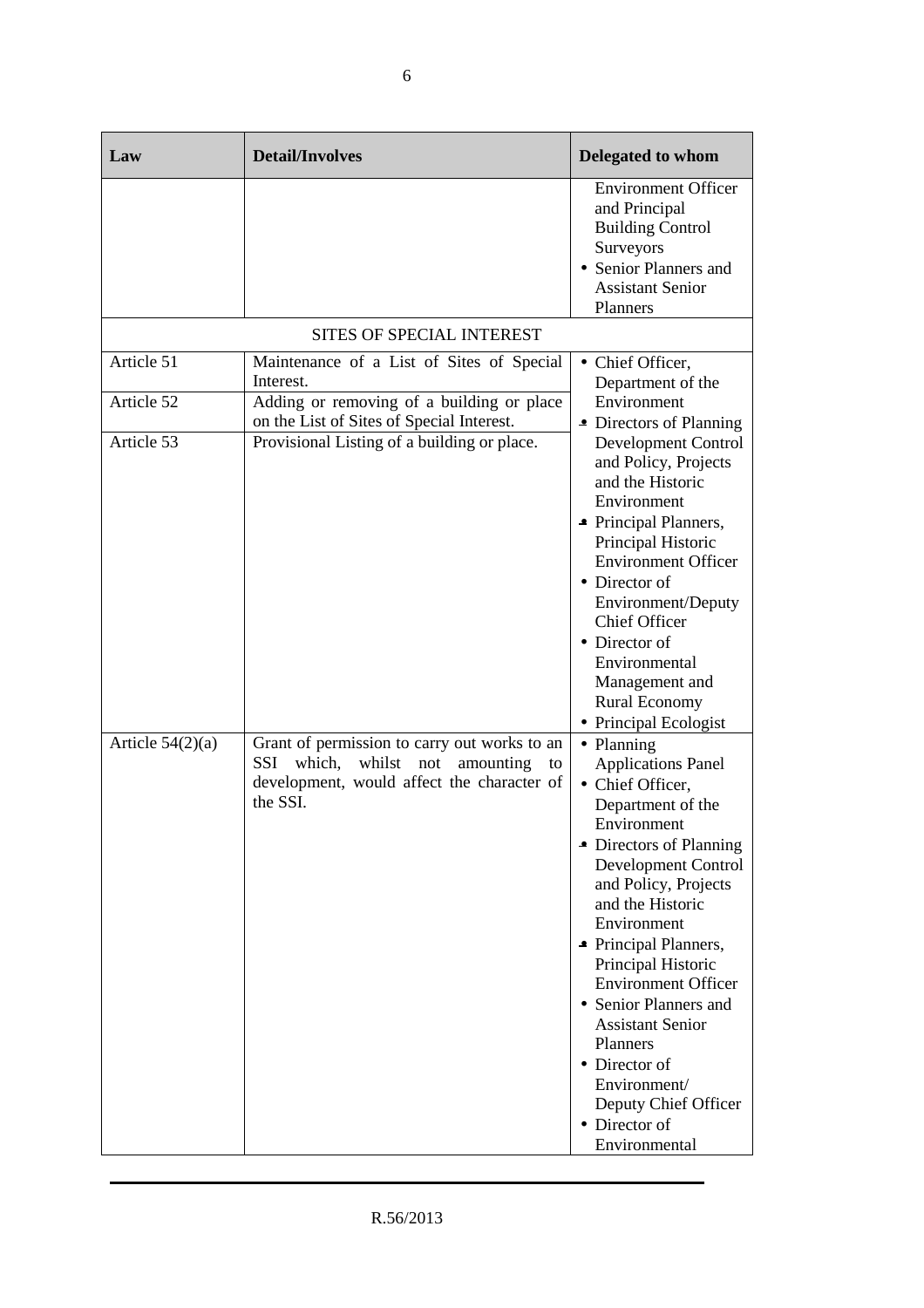| Law                      | <b>Detail/Involves</b>                                                                                                                                             | <b>Delegated to whom</b>                                                                                                                                                                                                                                                                                                                                                                                                                             |
|--------------------------|--------------------------------------------------------------------------------------------------------------------------------------------------------------------|------------------------------------------------------------------------------------------------------------------------------------------------------------------------------------------------------------------------------------------------------------------------------------------------------------------------------------------------------------------------------------------------------------------------------------------------------|
|                          |                                                                                                                                                                    | <b>Environment Officer</b><br>and Principal<br><b>Building Control</b><br>Surveyors<br>• Senior Planners and<br><b>Assistant Senior</b><br>Planners                                                                                                                                                                                                                                                                                                  |
|                          | <b>SITES OF SPECIAL INTEREST</b>                                                                                                                                   |                                                                                                                                                                                                                                                                                                                                                                                                                                                      |
| Article 51<br>Article 52 | Maintenance of a List of Sites of Special<br>Interest.<br>Adding or removing of a building or place                                                                | • Chief Officer,<br>Department of the<br>Environment                                                                                                                                                                                                                                                                                                                                                                                                 |
| Article 53               | on the List of Sites of Special Interest.<br>Provisional Listing of a building or place.                                                                           | • Directors of Planning<br>Development Control<br>and Policy, Projects<br>and the Historic<br>Environment<br>• Principal Planners,<br>Principal Historic<br><b>Environment Officer</b><br>• Director of<br>Environment/Deputy<br><b>Chief Officer</b><br>• Director of<br>Environmental<br>Management and<br><b>Rural Economy</b><br>• Principal Ecologist                                                                                           |
| Article $54(2)(a)$       | Grant of permission to carry out works to an<br>which,<br>whilst<br><b>SSI</b><br>not<br>amounting<br>to<br>development, would affect the character of<br>the SSI. | • Planning<br><b>Applications Panel</b><br>• Chief Officer,<br>Department of the<br>Environment<br>• Directors of Planning<br>Development Control<br>and Policy, Projects<br>and the Historic<br>Environment<br>• Principal Planners,<br>Principal Historic<br><b>Environment Officer</b><br>• Senior Planners and<br><b>Assistant Senior</b><br>Planners<br>• Director of<br>Environment/<br>Deputy Chief Officer<br>• Director of<br>Environmental |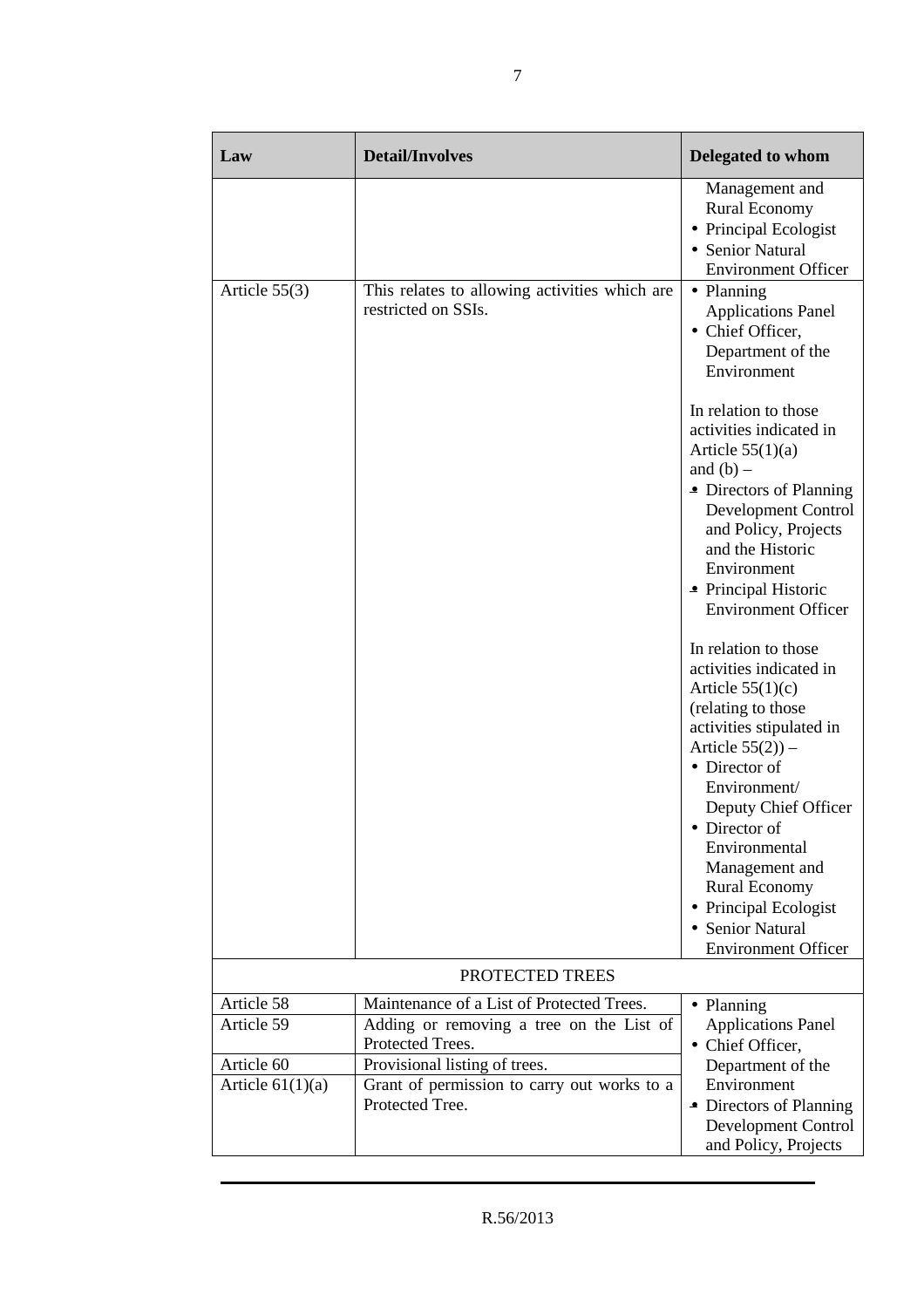| Law                                    | <b>Detail/Involves</b>                                                                                                                     | <b>Delegated to whom</b>                                                                                                                                                                                                                                                                                                                                       |
|----------------------------------------|--------------------------------------------------------------------------------------------------------------------------------------------|----------------------------------------------------------------------------------------------------------------------------------------------------------------------------------------------------------------------------------------------------------------------------------------------------------------------------------------------------------------|
|                                        |                                                                                                                                            | Management and<br><b>Rural Economy</b><br>• Principal Ecologist<br>• Senior Natural<br><b>Environment Officer</b>                                                                                                                                                                                                                                              |
| Article $55(3)$                        | This relates to allowing activities which are<br>restricted on SSIs.                                                                       | • Planning<br><b>Applications Panel</b><br>• Chief Officer,<br>Department of the<br>Environment                                                                                                                                                                                                                                                                |
|                                        |                                                                                                                                            | In relation to those<br>activities indicated in<br>Article $55(1)(a)$<br>and $(b)$ –<br>• Directors of Planning<br>Development Control<br>and Policy, Projects<br>and the Historic<br>Environment<br>• Principal Historic<br><b>Environment Officer</b>                                                                                                        |
|                                        |                                                                                                                                            | In relation to those<br>activities indicated in<br>Article $55(1)(c)$<br>(relating to those<br>activities stipulated in<br>Article $55(2)$ ) –<br>• Director of<br>Environment/<br>Deputy Chief Officer<br>• Director of<br>Environmental<br>Management and<br><b>Rural Economy</b><br>• Principal Ecologist<br>• Senior Natural<br><b>Environment Officer</b> |
|                                        | PROTECTED TREES                                                                                                                            |                                                                                                                                                                                                                                                                                                                                                                |
| Article 58<br>Article 59<br>Article 60 | Maintenance of a List of Protected Trees.<br>Adding or removing a tree on the List of<br>Protected Trees.<br>Provisional listing of trees. | • Planning<br><b>Applications Panel</b><br>• Chief Officer,<br>Department of the                                                                                                                                                                                                                                                                               |
| Article $61(1)(a)$                     | Grant of permission to carry out works to a<br>Protected Tree.                                                                             | Environment<br>• Directors of Planning<br>Development Control<br>and Policy, Projects                                                                                                                                                                                                                                                                          |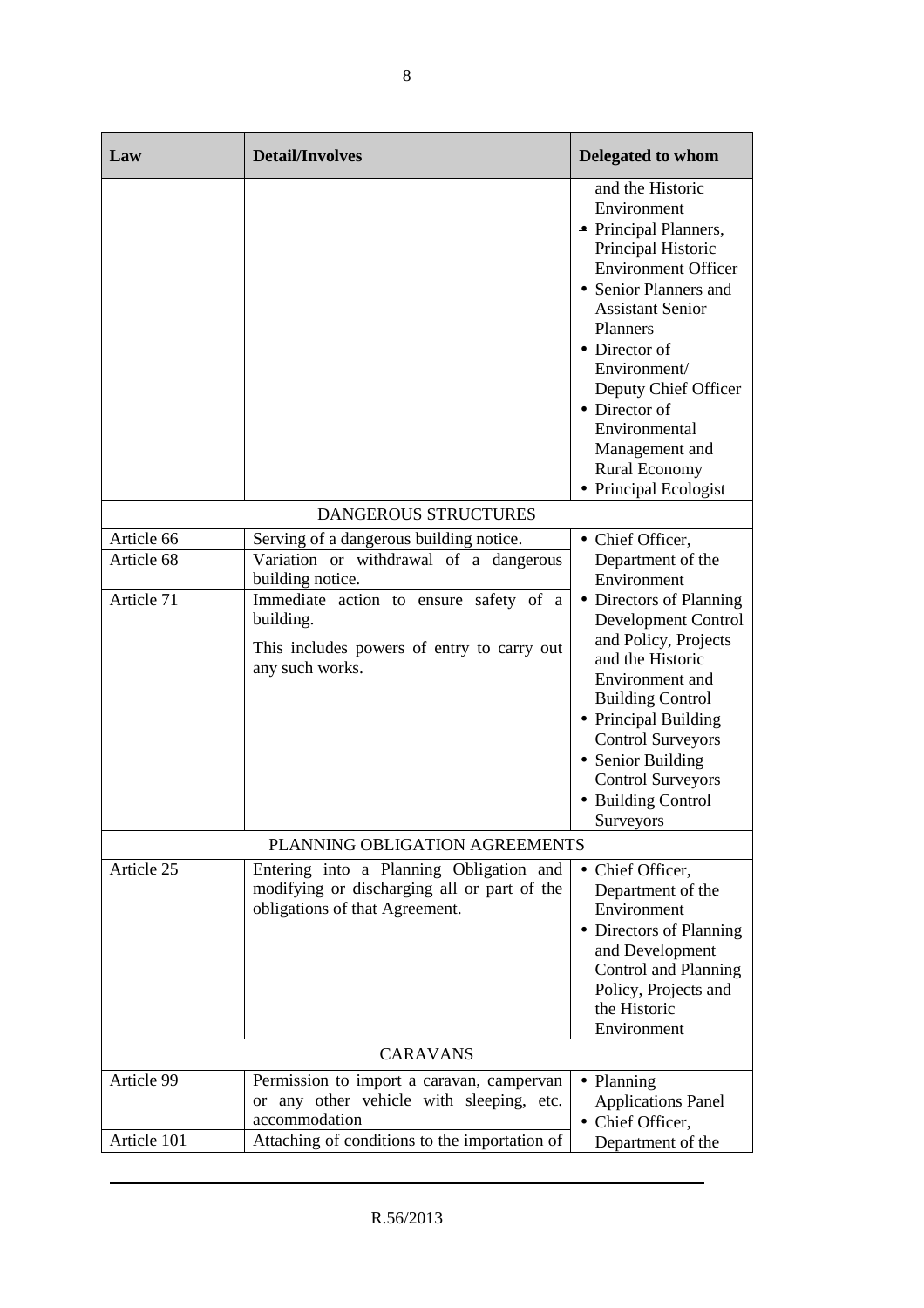| Law             | <b>Detail/Involves</b>                                                                                                   | Delegated to whom                                                                                                                                                                                                                                                                                                                          |
|-----------------|--------------------------------------------------------------------------------------------------------------------------|--------------------------------------------------------------------------------------------------------------------------------------------------------------------------------------------------------------------------------------------------------------------------------------------------------------------------------------------|
|                 |                                                                                                                          | and the Historic<br>Environment<br>• Principal Planners,<br>Principal Historic<br><b>Environment Officer</b><br>• Senior Planners and<br><b>Assistant Senior</b><br>Planners<br>• Director of<br>Environment/<br>Deputy Chief Officer<br>• Director of<br>Environmental<br>Management and<br><b>Rural Economy</b><br>• Principal Ecologist |
|                 | <b>DANGEROUS STRUCTURES</b>                                                                                              |                                                                                                                                                                                                                                                                                                                                            |
| Article 66      | Serving of a dangerous building notice.                                                                                  | • Chief Officer,                                                                                                                                                                                                                                                                                                                           |
| Article 68      | Variation or withdrawal of a dangerous<br>building notice.                                                               | Department of the<br>Environment                                                                                                                                                                                                                                                                                                           |
| Article 71      | Immediate action to ensure safety of a<br>building.<br>This includes powers of entry to carry out<br>any such works.     | • Directors of Planning<br>Development Control<br>and Policy, Projects<br>and the Historic<br>Environment and<br><b>Building Control</b><br>• Principal Building<br><b>Control Surveyors</b><br>• Senior Building<br><b>Control Surveyors</b><br>• Building Control<br>Surveyors                                                           |
|                 | PLANNING OBLIGATION AGREEMENTS                                                                                           |                                                                                                                                                                                                                                                                                                                                            |
| Article 25      | Entering into a Planning Obligation and<br>modifying or discharging all or part of the<br>obligations of that Agreement. | • Chief Officer,<br>Department of the<br>Environment<br>• Directors of Planning<br>and Development<br>Control and Planning<br>Policy, Projects and<br>the Historic<br>Environment                                                                                                                                                          |
| <b>CARAVANS</b> |                                                                                                                          |                                                                                                                                                                                                                                                                                                                                            |
| Article 99      | Permission to import a caravan, campervan<br>or any other vehicle with sleeping, etc.<br>accommodation                   | • Planning<br><b>Applications Panel</b><br>• Chief Officer,                                                                                                                                                                                                                                                                                |
| Article 101     | Attaching of conditions to the importation of                                                                            | Department of the                                                                                                                                                                                                                                                                                                                          |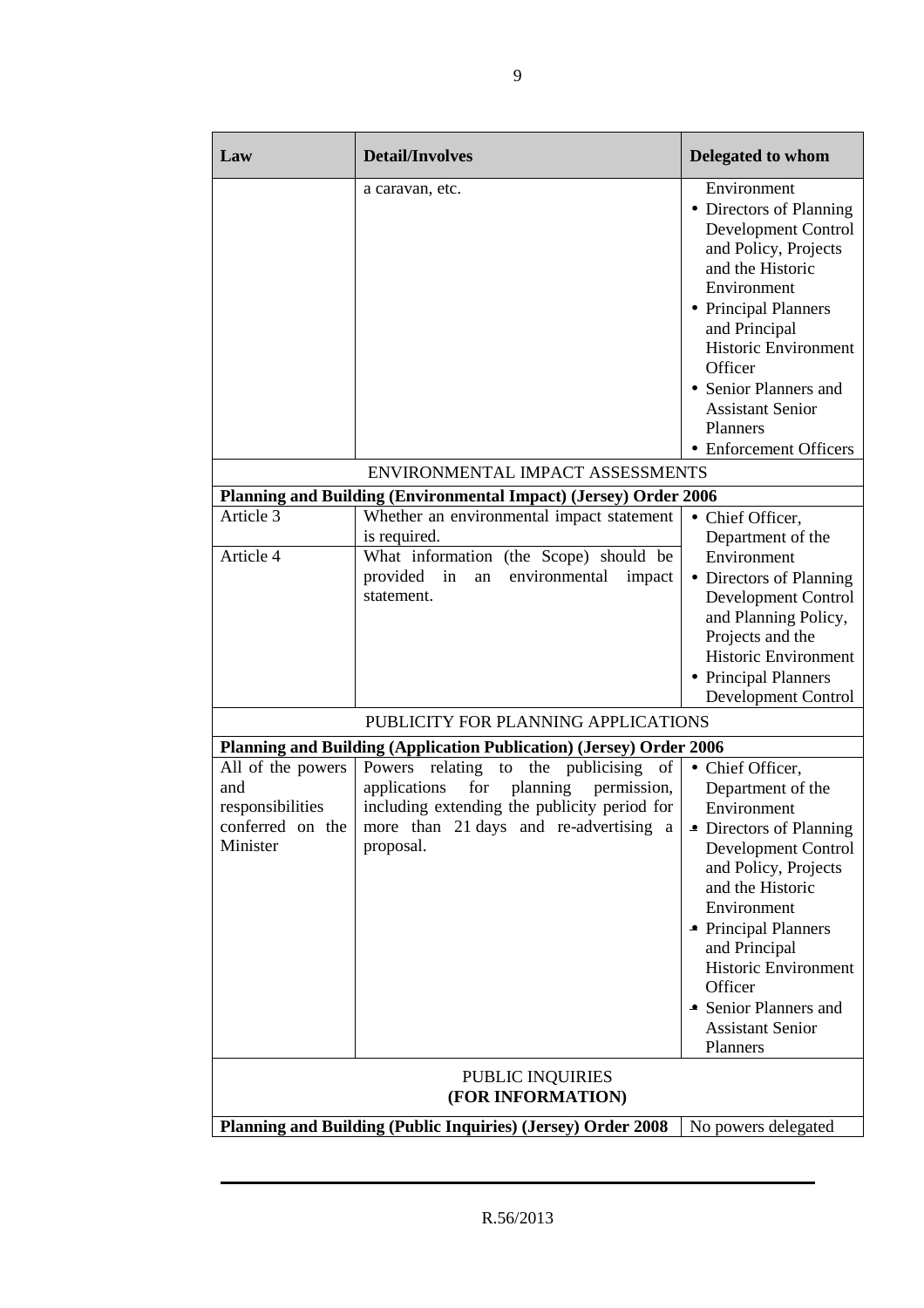| Law                                                                                 | <b>Detail/Involves</b>                                                                                                                                                                                                      | <b>Delegated to whom</b>                                                                                                                                                                                                                                                                                           |
|-------------------------------------------------------------------------------------|-----------------------------------------------------------------------------------------------------------------------------------------------------------------------------------------------------------------------------|--------------------------------------------------------------------------------------------------------------------------------------------------------------------------------------------------------------------------------------------------------------------------------------------------------------------|
|                                                                                     | a caravan, etc.                                                                                                                                                                                                             | Environment<br>• Directors of Planning<br>Development Control<br>and Policy, Projects<br>and the Historic<br>Environment<br>• Principal Planners<br>and Principal<br><b>Historic Environment</b><br>Officer<br>• Senior Planners and<br><b>Assistant Senior</b><br>Planners<br>• Enforcement Officers              |
|                                                                                     | ENVIRONMENTAL IMPACT ASSESSMENTS                                                                                                                                                                                            |                                                                                                                                                                                                                                                                                                                    |
|                                                                                     | Planning and Building (Environmental Impact) (Jersey) Order 2006                                                                                                                                                            |                                                                                                                                                                                                                                                                                                                    |
| Article 3<br>Article 4                                                              | Whether an environmental impact statement<br>is required.<br>What information (the Scope) should be                                                                                                                         | • Chief Officer,<br>Department of the<br>Environment                                                                                                                                                                                                                                                               |
|                                                                                     | provided in<br>environmental<br>impact<br>an<br>statement.                                                                                                                                                                  | • Directors of Planning<br>Development Control<br>and Planning Policy,<br>Projects and the<br><b>Historic Environment</b><br>• Principal Planners<br>Development Control                                                                                                                                           |
|                                                                                     | PUBLICITY FOR PLANNING APPLICATIONS                                                                                                                                                                                         |                                                                                                                                                                                                                                                                                                                    |
|                                                                                     | Planning and Building (Application Publication) (Jersey) Order 2006                                                                                                                                                         |                                                                                                                                                                                                                                                                                                                    |
| All of the powers<br>and<br>responsibilities<br>conferred on the<br>Minister        | relating to<br>Powers<br>the publicising<br>of<br>for<br>planning<br>applications<br>permission,<br>including extending the publicity period for<br>more than 21 days and re-advertising a<br>proposal.<br>PUBLIC INQUIRIES | • Chief Officer,<br>Department of the<br>Environment<br>Directors of Planning<br>Development Control<br>and Policy, Projects<br>and the Historic<br>Environment<br>• Principal Planners<br>and Principal<br><b>Historic Environment</b><br>Officer<br>• Senior Planners and<br><b>Assistant Senior</b><br>Planners |
| (FOR INFORMATION)                                                                   |                                                                                                                                                                                                                             |                                                                                                                                                                                                                                                                                                                    |
| Planning and Building (Public Inquiries) (Jersey) Order 2008<br>No powers delegated |                                                                                                                                                                                                                             |                                                                                                                                                                                                                                                                                                                    |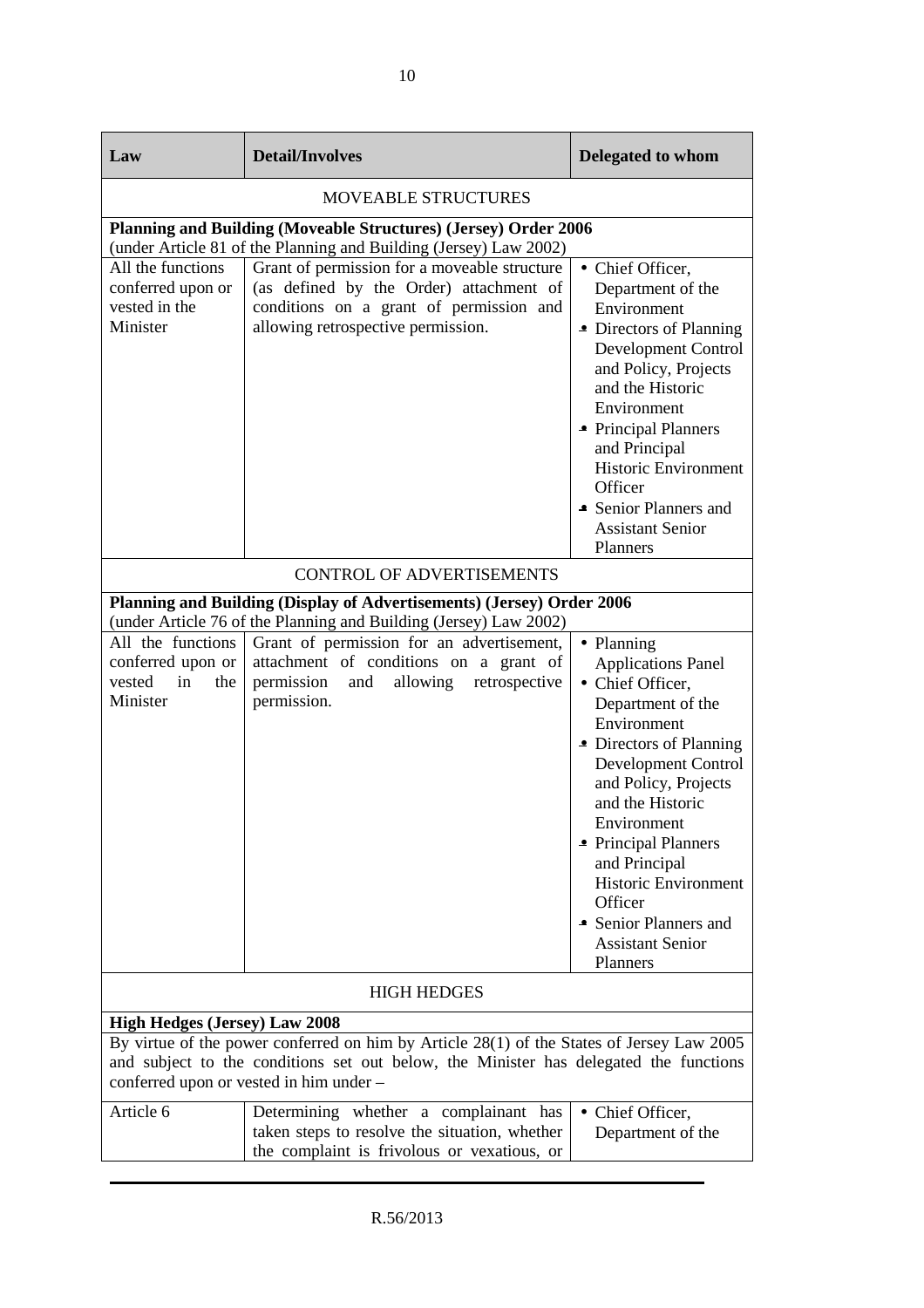| Law                                                                                                                                                                                                                                                                   | <b>Detail/Involves</b>                                                                                                                                                   | Delegated to whom                                                                                                                                                                                                                                                                                                                                               |
|-----------------------------------------------------------------------------------------------------------------------------------------------------------------------------------------------------------------------------------------------------------------------|--------------------------------------------------------------------------------------------------------------------------------------------------------------------------|-----------------------------------------------------------------------------------------------------------------------------------------------------------------------------------------------------------------------------------------------------------------------------------------------------------------------------------------------------------------|
| <b>MOVEABLE STRUCTURES</b>                                                                                                                                                                                                                                            |                                                                                                                                                                          |                                                                                                                                                                                                                                                                                                                                                                 |
|                                                                                                                                                                                                                                                                       | Planning and Building (Moveable Structures) (Jersey) Order 2006<br>(under Article 81 of the Planning and Building (Jersey) Law 2002)                                     |                                                                                                                                                                                                                                                                                                                                                                 |
| All the functions<br>conferred upon or<br>vested in the<br>Minister                                                                                                                                                                                                   | Grant of permission for a moveable structure<br>(as defined by the Order) attachment of<br>conditions on a grant of permission and<br>allowing retrospective permission. | • Chief Officer,<br>Department of the<br>Environment<br>• Directors of Planning<br>Development Control<br>and Policy, Projects<br>and the Historic<br>Environment<br>• Principal Planners<br>and Principal<br><b>Historic Environment</b><br>Officer<br>• Senior Planners and<br><b>Assistant Senior</b><br>Planners                                            |
|                                                                                                                                                                                                                                                                       | <b>CONTROL OF ADVERTISEMENTS</b>                                                                                                                                         |                                                                                                                                                                                                                                                                                                                                                                 |
|                                                                                                                                                                                                                                                                       | Planning and Building (Display of Advertisements) (Jersey) Order 2006<br>(under Article 76 of the Planning and Building (Jersey) Law 2002)                               |                                                                                                                                                                                                                                                                                                                                                                 |
| All the functions<br>conferred upon or<br>vested<br>in<br>the<br>Minister                                                                                                                                                                                             | Grant of permission for an advertisement,<br>attachment of conditions on a grant of<br>permission<br>allowing<br>retrospective<br>and<br>permission.                     | • Planning<br><b>Applications Panel</b><br>• Chief Officer,<br>Department of the<br>Environment<br>• Directors of Planning<br>Development Control<br>and Policy, Projects<br>and the Historic<br>Environment<br>• Principal Planners<br>and Principal<br><b>Historic Environment</b><br>Officer<br>• Senior Planners and<br><b>Assistant Senior</b><br>Planners |
| <b>HIGH HEDGES</b>                                                                                                                                                                                                                                                    |                                                                                                                                                                          |                                                                                                                                                                                                                                                                                                                                                                 |
| <b>High Hedges (Jersey) Law 2008</b><br>By virtue of the power conferred on him by Article 28(1) of the States of Jersey Law 2005<br>and subject to the conditions set out below, the Minister has delegated the functions<br>conferred upon or vested in him under - |                                                                                                                                                                          |                                                                                                                                                                                                                                                                                                                                                                 |
| Article 6                                                                                                                                                                                                                                                             | Determining whether a complainant has<br>taken steps to resolve the situation, whether<br>the complaint is frivolous or vexatious, or                                    | • Chief Officer,<br>Department of the                                                                                                                                                                                                                                                                                                                           |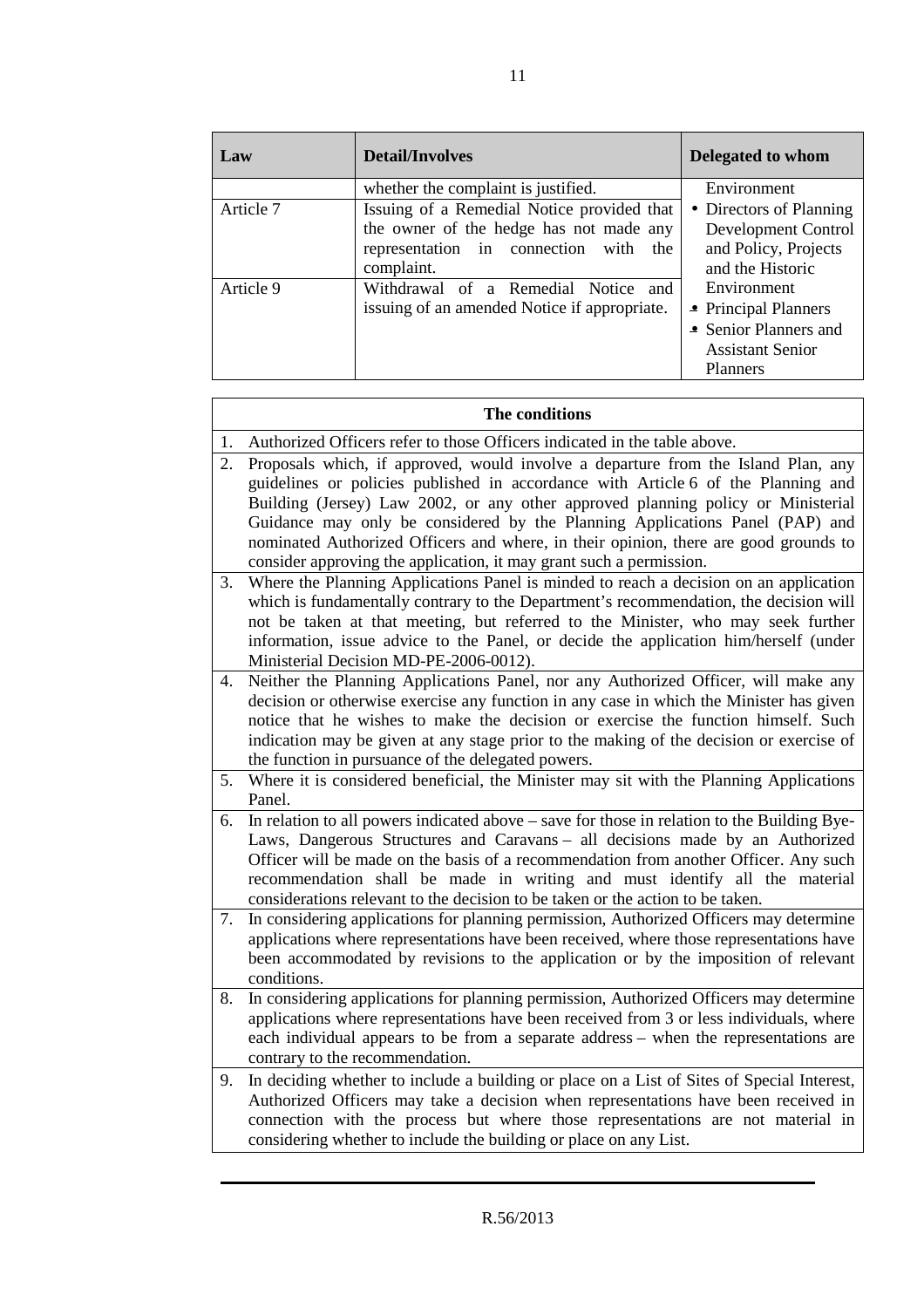| Law       | <b>Detail/Involves</b>                                                                                                                          | Delegated to whom                                                                                          |
|-----------|-------------------------------------------------------------------------------------------------------------------------------------------------|------------------------------------------------------------------------------------------------------------|
|           | whether the complaint is justified.                                                                                                             | Environment                                                                                                |
| Article 7 | Issuing of a Remedial Notice provided that<br>the owner of the hedge has not made any<br>representation in connection with<br>the<br>complaint. | • Directors of Planning<br>Development Control<br>and Policy, Projects<br>and the Historic                 |
| Article 9 | Withdrawal of a Remedial Notice and<br>issuing of an amended Notice if appropriate.                                                             | Environment<br>• Principal Planners<br>• Senior Planners and<br><b>Assistant Senior</b><br><b>Planners</b> |

|    | The conditions                                                                                                                                                                                                                                                                                                                                                                                                                                                                                            |  |  |
|----|-----------------------------------------------------------------------------------------------------------------------------------------------------------------------------------------------------------------------------------------------------------------------------------------------------------------------------------------------------------------------------------------------------------------------------------------------------------------------------------------------------------|--|--|
| 1. | Authorized Officers refer to those Officers indicated in the table above.                                                                                                                                                                                                                                                                                                                                                                                                                                 |  |  |
| 2. | Proposals which, if approved, would involve a departure from the Island Plan, any<br>guidelines or policies published in accordance with Article 6 of the Planning and<br>Building (Jersey) Law 2002, or any other approved planning policy or Ministerial<br>Guidance may only be considered by the Planning Applications Panel (PAP) and<br>nominated Authorized Officers and where, in their opinion, there are good grounds to<br>consider approving the application, it may grant such a permission. |  |  |
| 3. | Where the Planning Applications Panel is minded to reach a decision on an application<br>which is fundamentally contrary to the Department's recommendation, the decision will<br>not be taken at that meeting, but referred to the Minister, who may seek further<br>information, issue advice to the Panel, or decide the application him/herself (under<br>Ministerial Decision MD-PE-2006-0012).                                                                                                      |  |  |
| 4. | Neither the Planning Applications Panel, nor any Authorized Officer, will make any<br>decision or otherwise exercise any function in any case in which the Minister has given<br>notice that he wishes to make the decision or exercise the function himself. Such<br>indication may be given at any stage prior to the making of the decision or exercise of<br>the function in pursuance of the delegated powers.                                                                                       |  |  |
| 5. | Where it is considered beneficial, the Minister may sit with the Planning Applications<br>Panel.                                                                                                                                                                                                                                                                                                                                                                                                          |  |  |
| 6. | In relation to all powers indicated above – save for those in relation to the Building Bye-<br>Laws, Dangerous Structures and Caravans - all decisions made by an Authorized<br>Officer will be made on the basis of a recommendation from another Officer. Any such<br>recommendation shall be made in writing and must identify all the material<br>considerations relevant to the decision to be taken or the action to be taken.                                                                      |  |  |
| 7. | In considering applications for planning permission, Authorized Officers may determine<br>applications where representations have been received, where those representations have<br>been accommodated by revisions to the application or by the imposition of relevant<br>conditions.                                                                                                                                                                                                                    |  |  |
| 8. | In considering applications for planning permission, Authorized Officers may determine<br>applications where representations have been received from 3 or less individuals, where<br>each individual appears to be from a separate address - when the representations are<br>contrary to the recommendation.                                                                                                                                                                                              |  |  |
| 9. | In deciding whether to include a building or place on a List of Sites of Special Interest,<br>Authorized Officers may take a decision when representations have been received in<br>connection with the process but where those representations are not material in<br>considering whether to include the building or place on any List.                                                                                                                                                                  |  |  |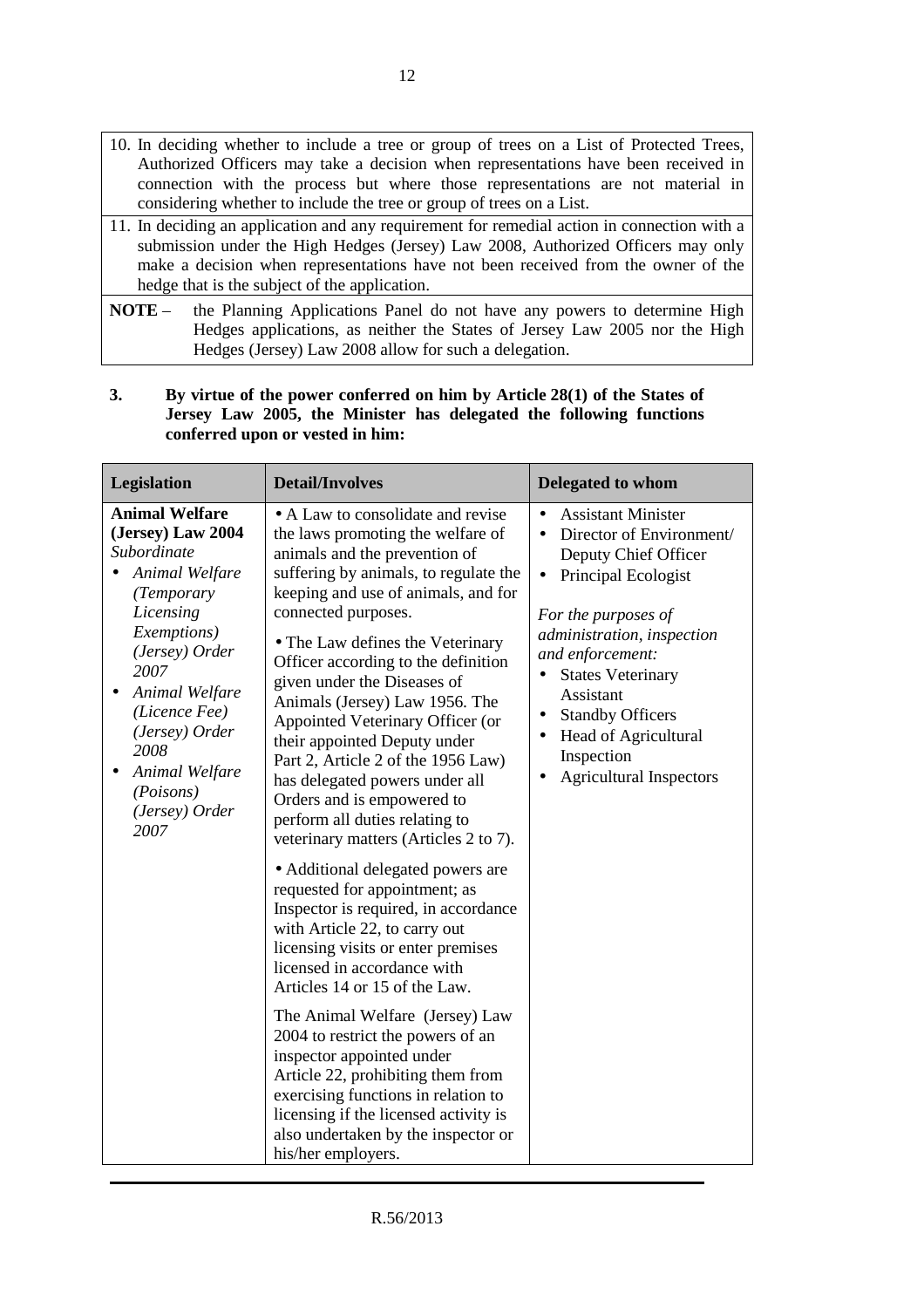- 11. In deciding an application and any requirement for remedial action in connection with a submission under the High Hedges (Jersey) Law 2008, Authorized Officers may only make a decision when representations have not been received from the owner of the hedge that is the subject of the application.
- **NOTE** the Planning Applications Panel do not have any powers to determine High Hedges applications, as neither the States of Jersey Law 2005 nor the High Hedges (Jersey) Law 2008 allow for such a delegation.

| 3.                               | By virtue of the power conferred on him by Article 28(1) of the States of |  |
|----------------------------------|---------------------------------------------------------------------------|--|
|                                  | Jersey Law 2005, the Minister has delegated the following functions       |  |
| conferred upon or vested in him: |                                                                           |  |

| Legislation                                                                                                                                                                                                                                                                                                  | <b>Detail/Involves</b>                                                                                                                                                                                                                                                                                                                                                                                                                                                                                                                                                                                          | Delegated to whom                                                                                                                                                                                                                                                                                                                           |
|--------------------------------------------------------------------------------------------------------------------------------------------------------------------------------------------------------------------------------------------------------------------------------------------------------------|-----------------------------------------------------------------------------------------------------------------------------------------------------------------------------------------------------------------------------------------------------------------------------------------------------------------------------------------------------------------------------------------------------------------------------------------------------------------------------------------------------------------------------------------------------------------------------------------------------------------|---------------------------------------------------------------------------------------------------------------------------------------------------------------------------------------------------------------------------------------------------------------------------------------------------------------------------------------------|
| <b>Animal Welfare</b><br>(Jersey) Law 2004<br>Subordinate<br>Animal Welfare<br>$\bullet$<br>(Temporary<br>Licensing<br>Exemptions)<br>(Jersey) Order<br>2007<br>Animal Welfare<br>$\bullet$<br>(Licence Fee)<br>(Jersey) Order<br>2008<br>Animal Welfare<br>$\bullet$<br>(Poisons)<br>(Jersey) Order<br>2007 | • A Law to consolidate and revise<br>the laws promoting the welfare of<br>animals and the prevention of<br>suffering by animals, to regulate the<br>keeping and use of animals, and for<br>connected purposes.<br>• The Law defines the Veterinary<br>Officer according to the definition<br>given under the Diseases of<br>Animals (Jersey) Law 1956. The<br>Appointed Veterinary Officer (or<br>their appointed Deputy under<br>Part 2, Article 2 of the 1956 Law)<br>has delegated powers under all<br>Orders and is empowered to<br>perform all duties relating to<br>veterinary matters (Articles 2 to 7). | <b>Assistant Minister</b><br>Director of Environment/<br>Deputy Chief Officer<br>Principal Ecologist<br>$\bullet$<br>For the purposes of<br>administration, inspection<br>and enforcement:<br><b>States Veterinary</b><br>Assistant<br><b>Standby Officers</b><br>٠<br>Head of Agricultural<br>Inspection<br><b>Agricultural Inspectors</b> |
|                                                                                                                                                                                                                                                                                                              | • Additional delegated powers are<br>requested for appointment; as<br>Inspector is required, in accordance<br>with Article 22, to carry out<br>licensing visits or enter premises<br>licensed in accordance with<br>Articles 14 or 15 of the Law.<br>The Animal Welfare (Jersey) Law<br>2004 to restrict the powers of an<br>inspector appointed under<br>Article 22, prohibiting them from<br>exercising functions in relation to<br>licensing if the licensed activity is<br>also undertaken by the inspector or<br>his/her employers.                                                                        |                                                                                                                                                                                                                                                                                                                                             |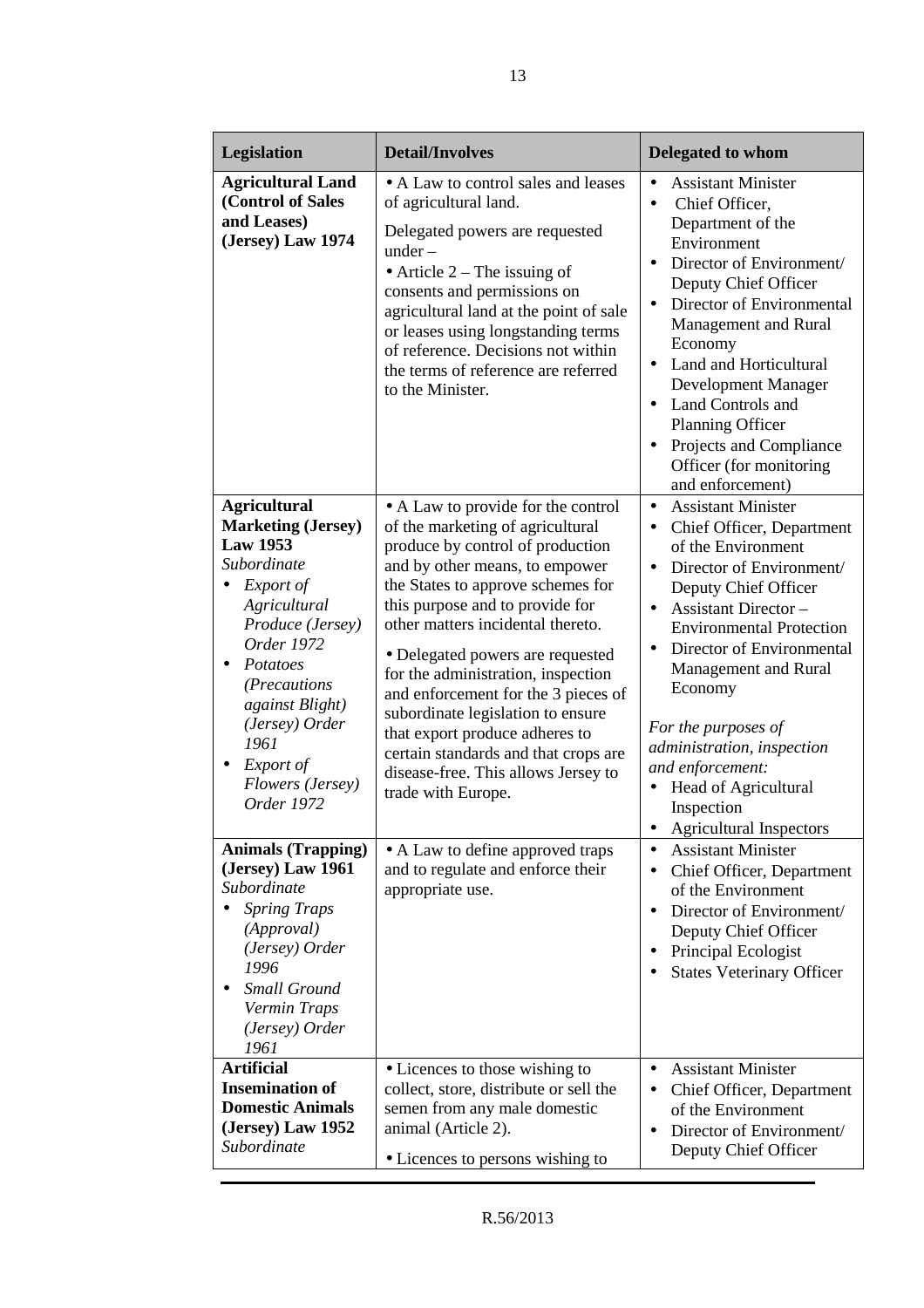| Legislation                                                                                                                                                                                                                                                                                                                                                        | <b>Detail/Involves</b>                                                                                                                                                                                                                                                                                                                                                                                                                                                                                                                                                                                                                              | <b>Delegated to whom</b>                                                                                                                                                                                                                                                                                                                                                                                                                                                                                                                                                                                                                                    |
|--------------------------------------------------------------------------------------------------------------------------------------------------------------------------------------------------------------------------------------------------------------------------------------------------------------------------------------------------------------------|-----------------------------------------------------------------------------------------------------------------------------------------------------------------------------------------------------------------------------------------------------------------------------------------------------------------------------------------------------------------------------------------------------------------------------------------------------------------------------------------------------------------------------------------------------------------------------------------------------------------------------------------------------|-------------------------------------------------------------------------------------------------------------------------------------------------------------------------------------------------------------------------------------------------------------------------------------------------------------------------------------------------------------------------------------------------------------------------------------------------------------------------------------------------------------------------------------------------------------------------------------------------------------------------------------------------------------|
| <b>Agricultural Land</b><br>(Control of Sales<br>and Leases)<br>(Jersey) Law 1974                                                                                                                                                                                                                                                                                  | • A Law to control sales and leases<br>of agricultural land.<br>Delegated powers are requested<br>$under -$<br>• Article $2$ – The issuing of<br>consents and permissions on<br>agricultural land at the point of sale<br>or leases using longstanding terms<br>of reference. Decisions not within<br>the terms of reference are referred<br>to the Minister.                                                                                                                                                                                                                                                                                       | <b>Assistant Minister</b><br>$\bullet$<br>Chief Officer,<br>$\bullet$<br>Department of the<br>Environment<br>Director of Environment/<br>Deputy Chief Officer<br>Director of Environmental<br>$\bullet$<br>Management and Rural<br>Economy<br>Land and Horticultural<br>$\bullet$<br>Development Manager<br>Land Controls and<br>$\bullet$<br><b>Planning Officer</b><br>Projects and Compliance<br>$\bullet$<br>Officer (for monitoring                                                                                                                                                                                                                    |
| <b>Agricultural</b><br><b>Marketing (Jersey)</b><br><b>Law 1953</b><br>Subordinate<br>Export of<br>Agricultural<br>Produce (Jersey)<br>Order 1972<br>Potatoes<br>(Precautions)<br>against Blight)<br>(Jersey) Order<br>1961<br>Export of<br>Flowers (Jersey)<br>Order 1972<br><b>Animals (Trapping)</b><br>(Jersey) Law 1961<br>Subordinate<br><b>Spring Traps</b> | • A Law to provide for the control<br>of the marketing of agricultural<br>produce by control of production<br>and by other means, to empower<br>the States to approve schemes for<br>this purpose and to provide for<br>other matters incidental thereto.<br>• Delegated powers are requested<br>for the administration, inspection<br>and enforcement for the 3 pieces of<br>subordinate legislation to ensure<br>that export produce adheres to<br>certain standards and that crops are<br>disease-free. This allows Jersey to<br>trade with Europe.<br>• A Law to define approved traps<br>and to regulate and enforce their<br>appropriate use. | and enforcement)<br><b>Assistant Minister</b><br>$\bullet$<br>Chief Officer, Department<br>$\bullet$<br>of the Environment<br>Director of Environment/<br>$\bullet$<br>Deputy Chief Officer<br><b>Assistant Director -</b><br>$\bullet$<br><b>Environmental Protection</b><br>Director of Environmental<br>Management and Rural<br>Economy<br>For the purposes of<br>administration, inspection<br>and enforcement:<br>Head of Agricultural<br>$\bullet$<br>Inspection<br><b>Agricultural Inspectors</b><br><b>Assistant Minister</b><br>$\bullet$<br>Chief Officer, Department<br>$\bullet$<br>of the Environment<br>Director of Environment/<br>$\bullet$ |
| (Approval)<br>(Jersey) Order<br>1996<br><b>Small Ground</b><br>Vermin Traps<br>(Jersey) Order<br>1961<br><b>Artificial</b>                                                                                                                                                                                                                                         |                                                                                                                                                                                                                                                                                                                                                                                                                                                                                                                                                                                                                                                     | Deputy Chief Officer<br>Principal Ecologist<br><b>States Veterinary Officer</b>                                                                                                                                                                                                                                                                                                                                                                                                                                                                                                                                                                             |
| <b>Insemination of</b><br><b>Domestic Animals</b><br>(Jersey) Law 1952<br>Subordinate                                                                                                                                                                                                                                                                              | • Licences to those wishing to<br>collect, store, distribute or sell the<br>semen from any male domestic<br>animal (Article 2).<br>• Licences to persons wishing to                                                                                                                                                                                                                                                                                                                                                                                                                                                                                 | <b>Assistant Minister</b><br>$\bullet$<br>Chief Officer, Department<br>$\bullet$<br>of the Environment<br>Director of Environment/<br>$\bullet$<br>Deputy Chief Officer                                                                                                                                                                                                                                                                                                                                                                                                                                                                                     |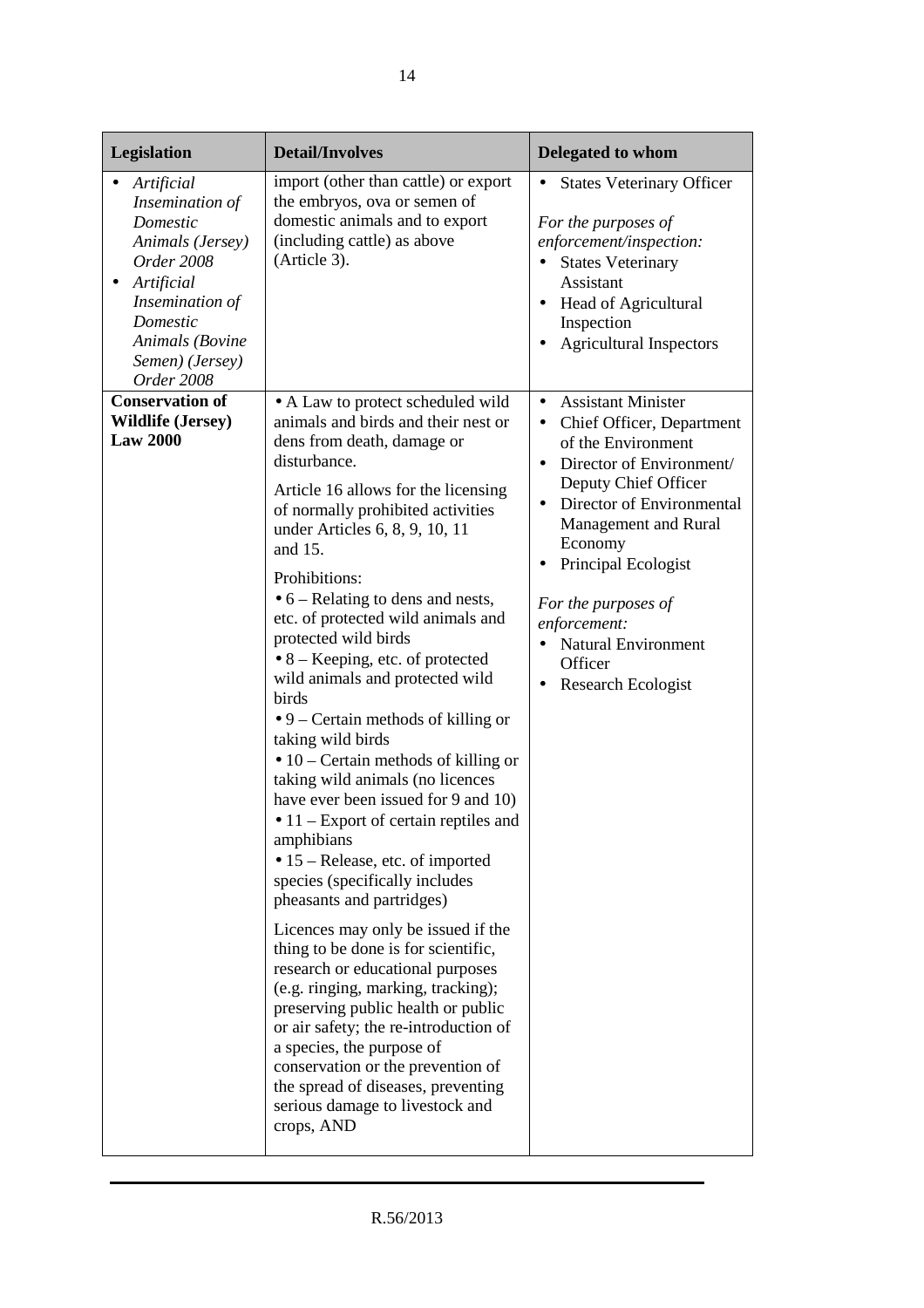| Legislation                                                                                                                                                                                                                | <b>Detail/Involves</b>                                                                                                                                                                                                                                                                                                                                                                                                                                                                                                                                                                                                                                                                                                                                                                                                                                                                                                                                                                                                                                                                                                                                                                         | Delegated to whom                                                                                                                                                                                                                                                                                                                                              |
|----------------------------------------------------------------------------------------------------------------------------------------------------------------------------------------------------------------------------|------------------------------------------------------------------------------------------------------------------------------------------------------------------------------------------------------------------------------------------------------------------------------------------------------------------------------------------------------------------------------------------------------------------------------------------------------------------------------------------------------------------------------------------------------------------------------------------------------------------------------------------------------------------------------------------------------------------------------------------------------------------------------------------------------------------------------------------------------------------------------------------------------------------------------------------------------------------------------------------------------------------------------------------------------------------------------------------------------------------------------------------------------------------------------------------------|----------------------------------------------------------------------------------------------------------------------------------------------------------------------------------------------------------------------------------------------------------------------------------------------------------------------------------------------------------------|
| Artificial<br>Insemination of<br>Domestic<br>Animals (Jersey)<br><b>Order 2008</b><br>Artificial<br>$\bullet$<br>Insemination of<br>Domestic<br>Animals (Bovine<br>Semen) (Jersey)<br>Order 2008<br><b>Conservation of</b> | import (other than cattle) or export<br>the embryos, ova or semen of<br>domestic animals and to export<br>(including cattle) as above<br>(Article 3).<br>• A Law to protect scheduled wild                                                                                                                                                                                                                                                                                                                                                                                                                                                                                                                                                                                                                                                                                                                                                                                                                                                                                                                                                                                                     | <b>States Veterinary Officer</b><br>For the purposes of<br>enforcement/inspection:<br><b>States Veterinary</b><br>$\bullet$<br>Assistant<br><b>Head of Agricultural</b><br>$\bullet$<br>Inspection<br><b>Agricultural Inspectors</b><br>$\bullet$<br><b>Assistant Minister</b><br>$\bullet$                                                                    |
| <b>Wildlife (Jersey)</b><br><b>Law 2000</b>                                                                                                                                                                                | animals and birds and their nest or<br>dens from death, damage or<br>disturbance.<br>Article 16 allows for the licensing<br>of normally prohibited activities<br>under Articles 6, 8, 9, 10, 11<br>and 15.<br>Prohibitions:<br>$\bullet$ 6 – Relating to dens and nests,<br>etc. of protected wild animals and<br>protected wild birds<br>$\bullet$ 8 – Keeping, etc. of protected<br>wild animals and protected wild<br>birds<br>$\bullet$ 9 – Certain methods of killing or<br>taking wild birds<br>$\bullet$ 10 – Certain methods of killing or<br>taking wild animals (no licences<br>have ever been issued for 9 and 10)<br>$\bullet$ 11 – Export of certain reptiles and<br>amphibians<br>• 15 – Release, etc. of imported<br>species (specifically includes<br>pheasants and partridges)<br>Licences may only be issued if the<br>thing to be done is for scientific,<br>research or educational purposes<br>(e.g. ringing, marking, tracking);<br>preserving public health or public<br>or air safety; the re-introduction of<br>a species, the purpose of<br>conservation or the prevention of<br>the spread of diseases, preventing<br>serious damage to livestock and<br>crops, AND | Chief Officer, Department<br>$\bullet$<br>of the Environment<br>Director of Environment/<br>$\bullet$<br>Deputy Chief Officer<br>Director of Environmental<br>$\bullet$<br>Management and Rural<br>Economy<br>Principal Ecologist<br>٠<br>For the purposes of<br>enforcement:<br><b>Natural Environment</b><br>$\bullet$<br>Officer<br>Research Ecologist<br>٠ |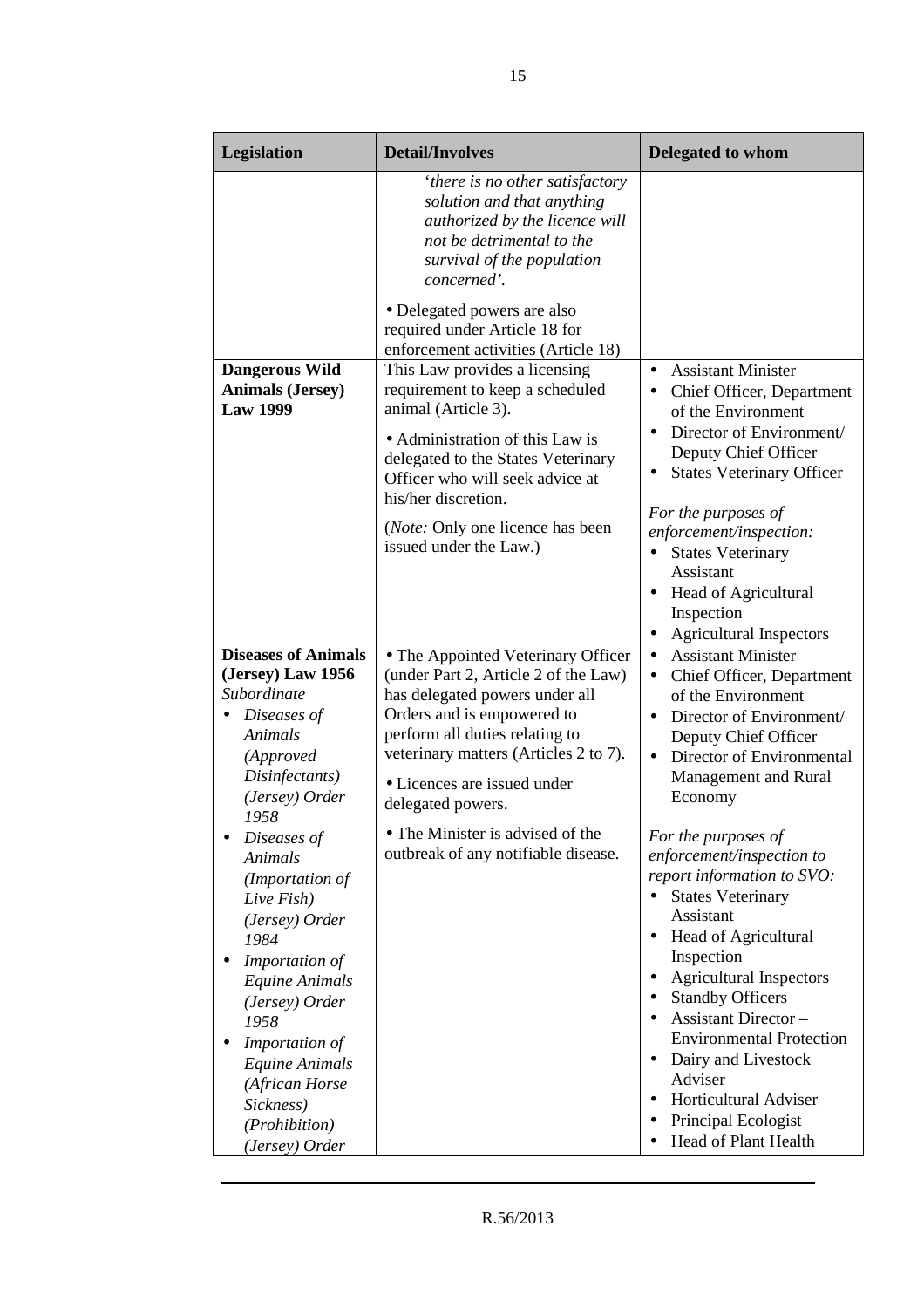| Legislation                                                                                                                                                                                                                                                          | <b>Detail/Involves</b>                                                                                                                                                                                                                                                    | <b>Delegated to whom</b>                                                                                                                                                                                                                                                                                                                                                                                                         |
|----------------------------------------------------------------------------------------------------------------------------------------------------------------------------------------------------------------------------------------------------------------------|---------------------------------------------------------------------------------------------------------------------------------------------------------------------------------------------------------------------------------------------------------------------------|----------------------------------------------------------------------------------------------------------------------------------------------------------------------------------------------------------------------------------------------------------------------------------------------------------------------------------------------------------------------------------------------------------------------------------|
|                                                                                                                                                                                                                                                                      | 'there is no other satisfactory<br>solution and that anything<br>authorized by the licence will<br>not be detrimental to the<br>survival of the population<br>concerned'.                                                                                                 |                                                                                                                                                                                                                                                                                                                                                                                                                                  |
|                                                                                                                                                                                                                                                                      | · Delegated powers are also<br>required under Article 18 for<br>enforcement activities (Article 18)                                                                                                                                                                       |                                                                                                                                                                                                                                                                                                                                                                                                                                  |
| <b>Dangerous Wild</b><br><b>Animals (Jersey)</b><br><b>Law 1999</b>                                                                                                                                                                                                  | This Law provides a licensing<br>requirement to keep a scheduled<br>animal (Article 3).<br>• Administration of this Law is<br>delegated to the States Veterinary<br>Officer who will seek advice at<br>his/her discretion.                                                | <b>Assistant Minister</b><br>$\bullet$<br>Chief Officer, Department<br>of the Environment<br>Director of Environment/<br>$\bullet$<br>Deputy Chief Officer<br><b>States Veterinary Officer</b><br>$\bullet$                                                                                                                                                                                                                      |
|                                                                                                                                                                                                                                                                      | ( <i>Note:</i> Only one licence has been<br>issued under the Law.)                                                                                                                                                                                                        | For the purposes of<br>enforcement/inspection:<br><b>States Veterinary</b><br>$\bullet$<br>Assistant<br>Head of Agricultural<br>$\bullet$<br>Inspection<br><b>Agricultural Inspectors</b><br>$\bullet$                                                                                                                                                                                                                           |
| <b>Diseases of Animals</b><br>(Jersey) Law 1956<br>Subordinate<br>Diseases of<br>Animals<br>(Approved<br>Disinfectants)<br>(Jersey) Order                                                                                                                            | • The Appointed Veterinary Officer<br>(under Part 2, Article 2 of the Law)<br>has delegated powers under all<br>Orders and is empowered to<br>perform all duties relating to<br>veterinary matters (Articles 2 to 7).<br>• Licences are issued under<br>delegated powers. | <b>Assistant Minister</b><br>$\bullet$<br>Chief Officer, Department<br>$\bullet$<br>of the Environment<br>Director of Environment/<br>$\bullet$<br>Deputy Chief Officer<br>Director of Environmental<br>$\bullet$<br>Management and Rural<br>Economy                                                                                                                                                                             |
| 1958<br>Diseases of<br><b>Animals</b><br>(Importation of<br>Live Fish)<br>(Jersey) Order<br>1984<br>Importation of<br>Equine Animals<br>(Jersey) Order<br>1958<br>Importation of<br>Equine Animals<br>(African Horse<br>Sickness)<br>(Prohibition)<br>(Jersey) Order | • The Minister is advised of the<br>outbreak of any notifiable disease.                                                                                                                                                                                                   | For the purposes of<br>enforcement/inspection to<br>report information to SVO:<br><b>States Veterinary</b><br>Assistant<br>Head of Agricultural<br>Inspection<br><b>Agricultural Inspectors</b><br>$\bullet$<br><b>Standby Officers</b><br><b>Assistant Director -</b><br><b>Environmental Protection</b><br>Dairy and Livestock<br>$\bullet$<br>Adviser<br>Horticultural Adviser<br>Principal Ecologist<br>Head of Plant Health |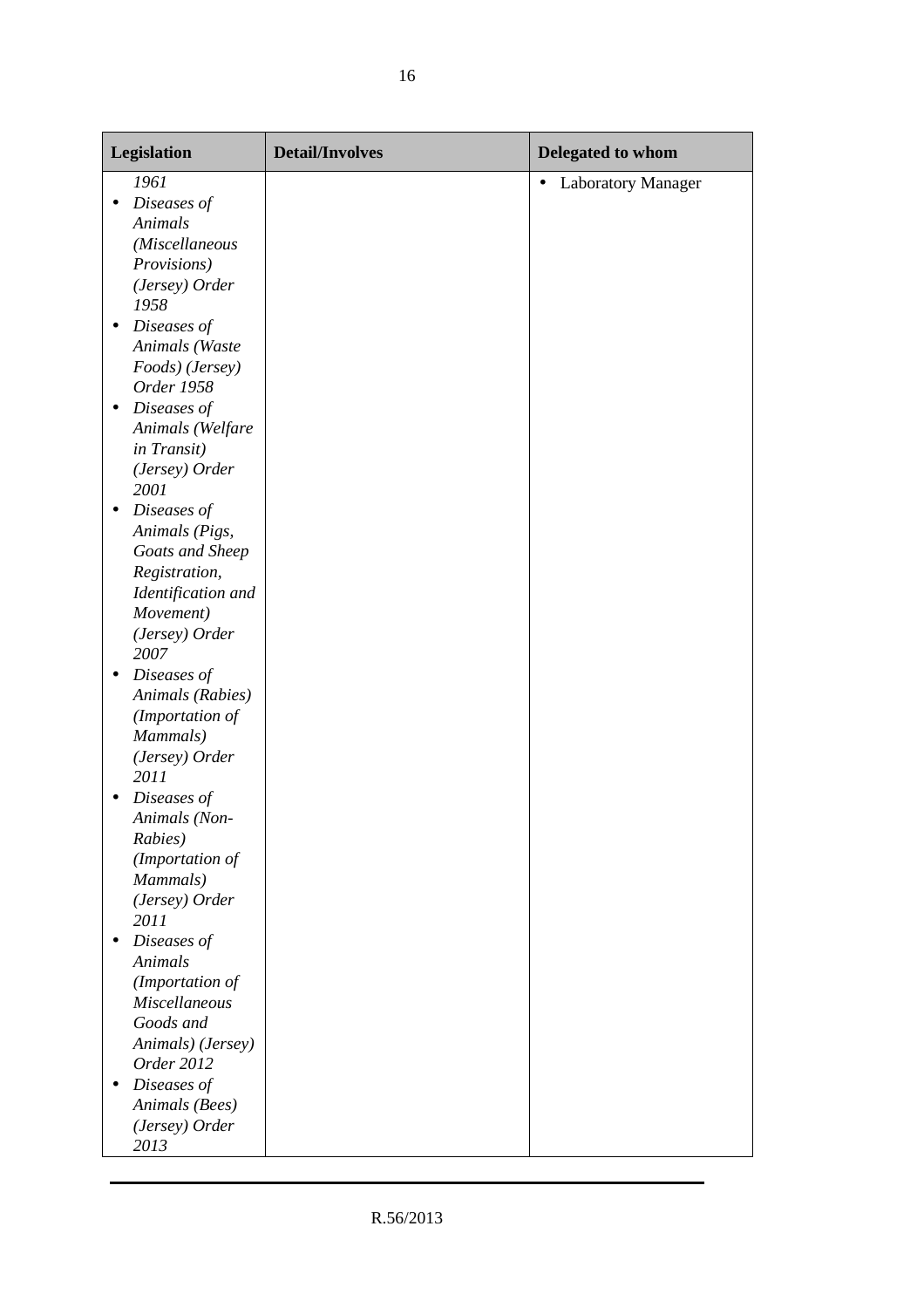| <b>Legislation</b>       | <b>Detail/Involves</b> | Delegated to whom                      |
|--------------------------|------------------------|----------------------------------------|
| 1961                     |                        | <b>Laboratory Manager</b><br>$\bullet$ |
| Diseases of<br>$\bullet$ |                        |                                        |
| Animals                  |                        |                                        |
| (Miscellaneous           |                        |                                        |
| Provisions)              |                        |                                        |
| (Jersey) Order           |                        |                                        |
| 1958                     |                        |                                        |
| Diseases of<br>$\bullet$ |                        |                                        |
| Animals (Waste           |                        |                                        |
| Foods) (Jersey)          |                        |                                        |
| Order 1958               |                        |                                        |
| Diseases of<br>$\bullet$ |                        |                                        |
| Animals (Welfare         |                        |                                        |
| in Transit)              |                        |                                        |
| (Jersey) Order           |                        |                                        |
| 2001                     |                        |                                        |
| Diseases of<br>$\bullet$ |                        |                                        |
| Animals (Pigs,           |                        |                                        |
| Goats and Sheep          |                        |                                        |
| Registration,            |                        |                                        |
| Identification and       |                        |                                        |
| Movement)                |                        |                                        |
| (Jersey) Order           |                        |                                        |
| 2007                     |                        |                                        |
| Diseases of<br>$\bullet$ |                        |                                        |
| Animals (Rabies)         |                        |                                        |
| (Importation of          |                        |                                        |
| Mammals)                 |                        |                                        |
| (Jersey) Order           |                        |                                        |
| 2011                     |                        |                                        |
| Diseases of              |                        |                                        |
| Animals (Non-            |                        |                                        |
| Rabies)                  |                        |                                        |
| (Importation of          |                        |                                        |
| Mammals)                 |                        |                                        |
| (Jersey) Order           |                        |                                        |
| 2011                     |                        |                                        |
| Diseases of<br>$\bullet$ |                        |                                        |
| Animals                  |                        |                                        |
| (Importation of          |                        |                                        |
| <b>Miscellaneous</b>     |                        |                                        |
| Goods and                |                        |                                        |
| Animals) (Jersey)        |                        |                                        |
| Order 2012               |                        |                                        |
| Diseases of<br>$\bullet$ |                        |                                        |
| Animals (Bees)           |                        |                                        |
| (Jersey) Order           |                        |                                        |
| 2013                     |                        |                                        |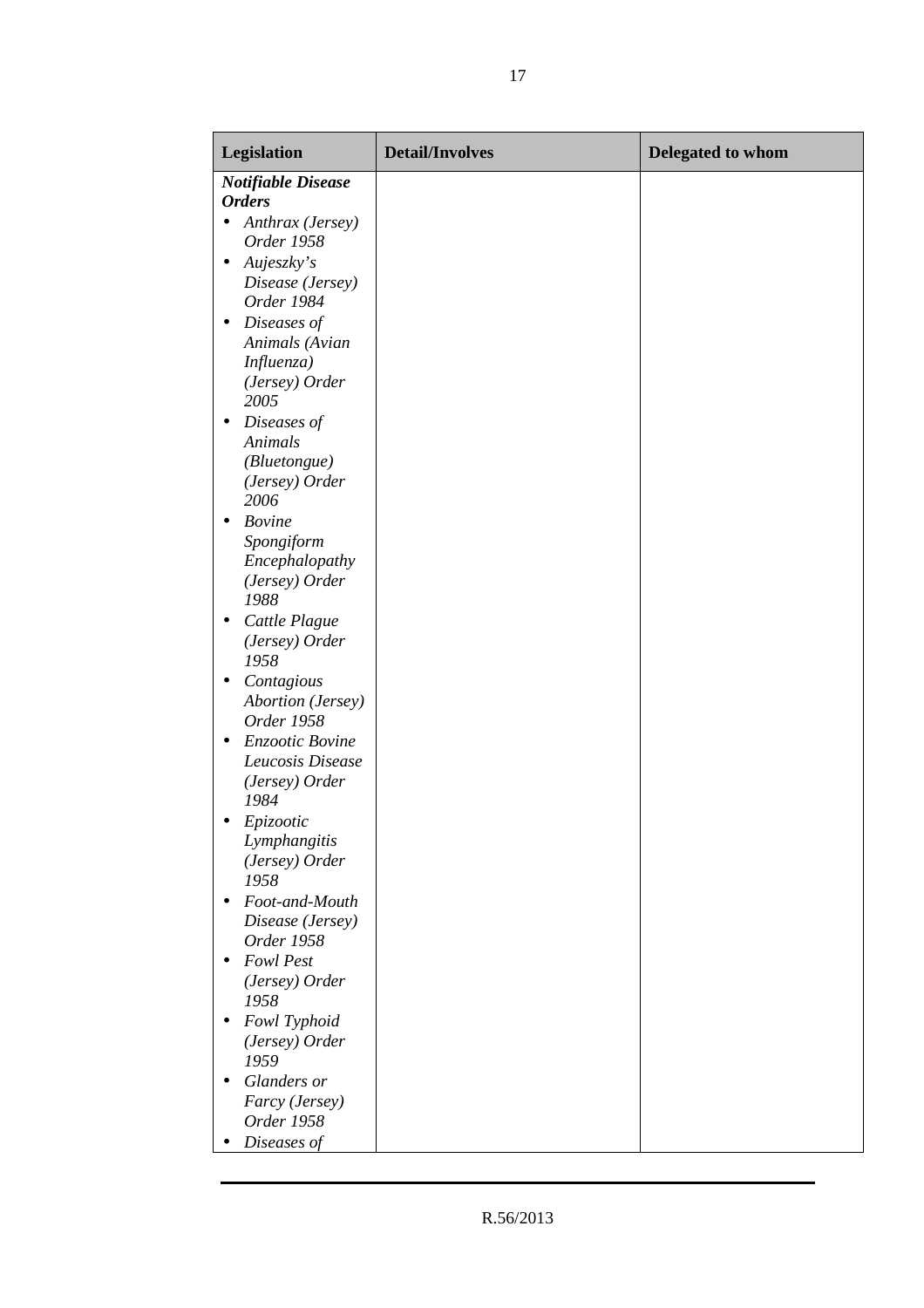| Legislation                                                                          | <b>Detail/Involves</b> | Delegated to whom |
|--------------------------------------------------------------------------------------|------------------------|-------------------|
| <b>Notifiable Disease</b><br><b>Orders</b>                                           |                        |                   |
| • Anthrax (Jersey)<br>Order 1958                                                     |                        |                   |
| Aujeszky's<br>$\bullet$<br>Disease (Jersey)                                          |                        |                   |
| Order 1984<br>Diseases of<br>$\bullet$<br>Animals (Avian                             |                        |                   |
| Influenza)<br>(Jersey) Order<br>2005                                                 |                        |                   |
| Diseases of<br>$\bullet$<br>Animals<br>(Bluetongue)<br>(Jersey) Order<br>2006        |                        |                   |
| <b>Bovine</b><br>$\bullet$<br>Spongiform<br>Encephalopathy<br>(Jersey) Order<br>1988 |                        |                   |
| Cattle Plague<br>$\bullet$<br>(Jersey) Order<br>1958                                 |                        |                   |
| Contagious<br>$\bullet$<br>Abortion (Jersey)<br>Order 1958                           |                        |                   |
| Enzootic Bovine<br>$\bullet$<br>Leucosis Disease<br>(Jersey) Order<br>1984           |                        |                   |
| Epizootic<br>Lymphangitis<br>(Jersey) Order<br>1958                                  |                        |                   |
| Foot-and-Mouth<br>$\bullet$<br>Disease (Jersey)                                      |                        |                   |
| Order 1958<br><b>Fowl Pest</b><br>$\bullet$                                          |                        |                   |
| (Jersey) Order<br>1958                                                               |                        |                   |
| Fowl Typhoid<br>$\bullet$<br>(Jersey) Order<br>1959                                  |                        |                   |
| Glanders or<br>$\bullet$<br>Farcy (Jersey)<br>Order 1958                             |                        |                   |
| Diseases of                                                                          |                        |                   |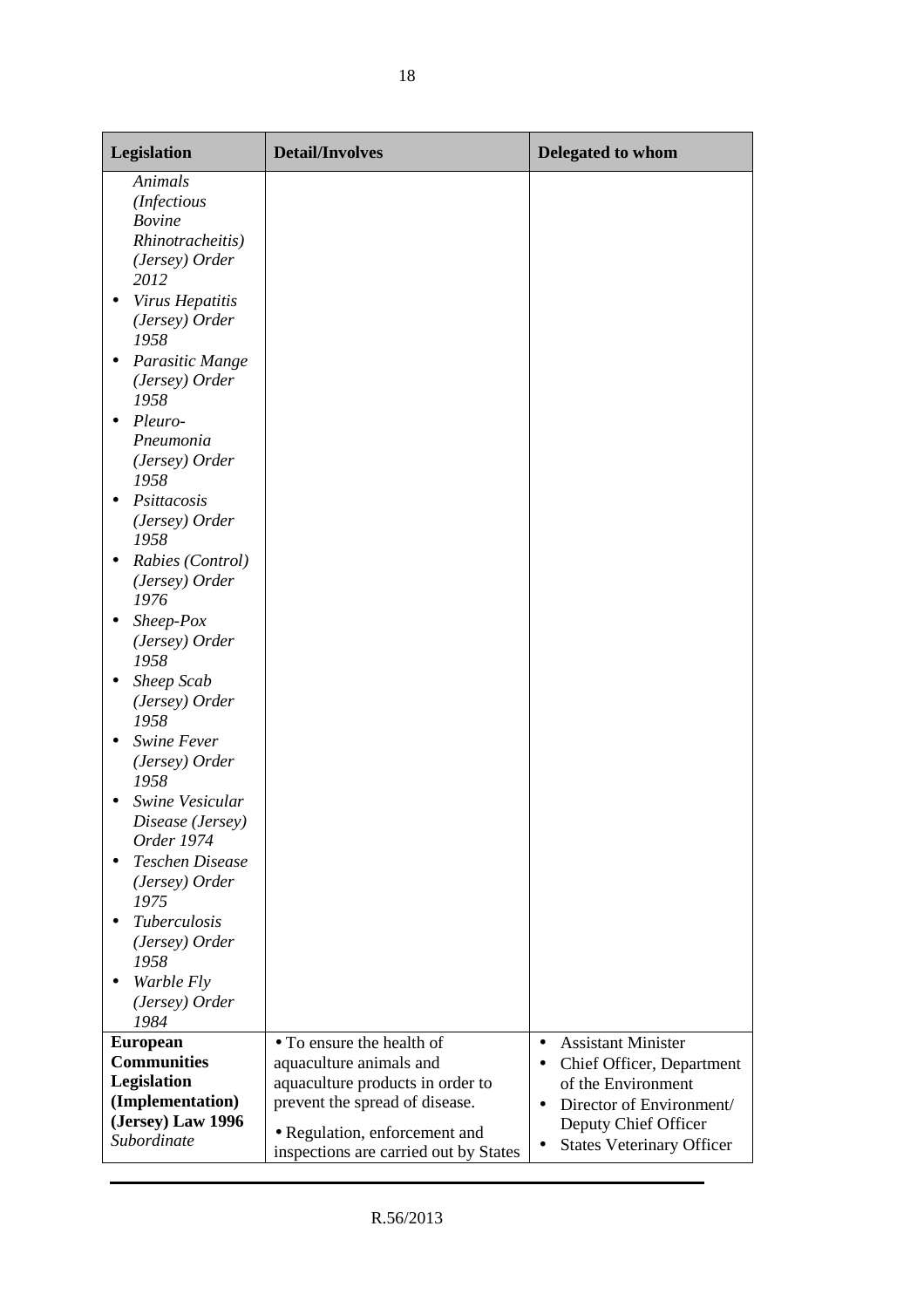| Legislation                                                                                                                                                                                                                                                                                                                                                                                                                                                                                                                                                                                                                                                     | <b>Detail/Involves</b>                | Delegated to whom                      |
|-----------------------------------------------------------------------------------------------------------------------------------------------------------------------------------------------------------------------------------------------------------------------------------------------------------------------------------------------------------------------------------------------------------------------------------------------------------------------------------------------------------------------------------------------------------------------------------------------------------------------------------------------------------------|---------------------------------------|----------------------------------------|
| Animals<br>(Infectious<br><b>Bovine</b><br>Rhinotracheitis)<br>(Jersey) Order<br>2012<br>Virus Hepatitis<br>$\bullet$<br>(Jersey) Order<br>1958<br>Parasitic Mange<br>(Jersey) Order<br>1958<br>Pleuro-<br>Pneumonia<br>(Jersey) Order<br>1958<br>Psittacosis<br>(Jersey) Order<br>1958<br>Rabies (Control)<br>(Jersey) Order<br>1976<br>$Sheep-Pox$<br>(Jersey) Order<br>1958<br>Sheep Scab<br>(Jersey) Order<br>1958<br>Swine Fever<br>$\bullet$<br>(Jersey) Order<br>1958<br>Swine Vesicular<br>Disease (Jersey)<br>Order 1974<br>Teschen Disease<br>(Jersey) Order<br>1975<br><b>Tuberculosis</b><br>$\bullet$<br>(Jersey) Order<br>1958<br>Warble Fly<br>٠ |                                       |                                        |
| (Jersey) Order                                                                                                                                                                                                                                                                                                                                                                                                                                                                                                                                                                                                                                                  |                                       |                                        |
| 1984<br><b>European</b>                                                                                                                                                                                                                                                                                                                                                                                                                                                                                                                                                                                                                                         | • To ensure the health of             | <b>Assistant Minister</b><br>$\bullet$ |
| <b>Communities</b>                                                                                                                                                                                                                                                                                                                                                                                                                                                                                                                                                                                                                                              | aquaculture animals and               | Chief Officer, Department<br>$\bullet$ |
| Legislation                                                                                                                                                                                                                                                                                                                                                                                                                                                                                                                                                                                                                                                     | aquaculture products in order to      | of the Environment                     |
| (Implementation)                                                                                                                                                                                                                                                                                                                                                                                                                                                                                                                                                                                                                                                | prevent the spread of disease.        | Director of Environment/<br>$\bullet$  |
| (Jersey) Law 1996                                                                                                                                                                                                                                                                                                                                                                                                                                                                                                                                                                                                                                               | • Regulation, enforcement and         | Deputy Chief Officer                   |
| Subordinate                                                                                                                                                                                                                                                                                                                                                                                                                                                                                                                                                                                                                                                     | inspections are carried out by States | <b>States Veterinary Officer</b><br>٠  |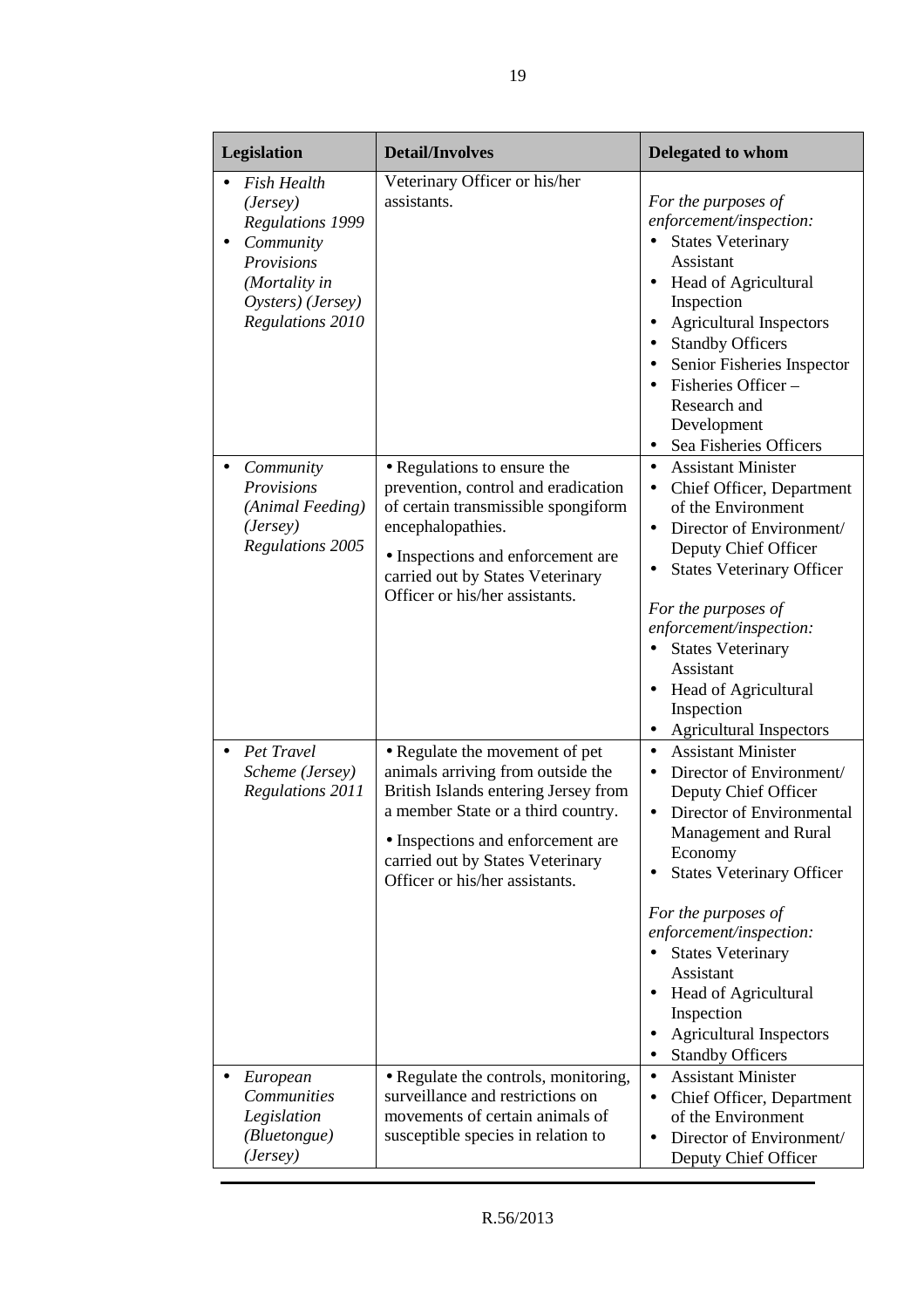|           | Legislation                                                                                                                                           | <b>Detail/Involves</b>                                                                                                                                                                                                                                       | Delegated to whom                                                                                                                                                                                                                                                                                                                                                                                                      |
|-----------|-------------------------------------------------------------------------------------------------------------------------------------------------------|--------------------------------------------------------------------------------------------------------------------------------------------------------------------------------------------------------------------------------------------------------------|------------------------------------------------------------------------------------------------------------------------------------------------------------------------------------------------------------------------------------------------------------------------------------------------------------------------------------------------------------------------------------------------------------------------|
|           | <b>Fish Health</b><br>(Jersey)<br><b>Regulations 1999</b><br>Community<br>Provisions<br>(Mortality in<br>Oysters) (Jersey)<br><b>Regulations 2010</b> | Veterinary Officer or his/her<br>assistants.                                                                                                                                                                                                                 | For the purposes of<br>enforcement/inspection:<br><b>States Veterinary</b><br>Assistant<br>Head of Agricultural<br>$\bullet$<br>Inspection<br><b>Agricultural Inspectors</b><br><b>Standby Officers</b><br>Senior Fisheries Inspector<br>Fisheries Officer-<br>Research and<br>Development<br>Sea Fisheries Officers                                                                                                   |
|           | Community<br>Provisions<br>(Animal Feeding)<br>(Jersey)<br><b>Regulations 2005</b>                                                                    | • Regulations to ensure the<br>prevention, control and eradication<br>of certain transmissible spongiform<br>encephalopathies.<br>• Inspections and enforcement are<br>carried out by States Veterinary<br>Officer or his/her assistants.                    | <b>Assistant Minister</b><br>$\bullet$<br>Chief Officer, Department<br>$\bullet$<br>of the Environment<br>Director of Environment/<br>$\bullet$<br>Deputy Chief Officer<br><b>States Veterinary Officer</b><br>For the purposes of<br>enforcement/inspection:<br><b>States Veterinary</b><br>Assistant<br>Head of Agricultural<br>Inspection<br><b>Agricultural Inspectors</b><br>$\bullet$                            |
| $\bullet$ | Pet Travel<br>Scheme (Jersey)<br><b>Regulations 2011</b>                                                                                              | • Regulate the movement of pet<br>animals arriving from outside the<br>British Islands entering Jersey from<br>a member State or a third country.<br>• Inspections and enforcement are<br>carried out by States Veterinary<br>Officer or his/her assistants. | <b>Assistant Minister</b><br>$\bullet$<br>Director of Environment/<br>Deputy Chief Officer<br>Director of Environmental<br>$\bullet$<br>Management and Rural<br>Economy<br><b>States Veterinary Officer</b><br>For the purposes of<br>enforcement/inspection:<br><b>States Veterinary</b><br>$\bullet$<br>Assistant<br>Head of Agricultural<br>Inspection<br><b>Agricultural Inspectors</b><br><b>Standby Officers</b> |
|           | European<br>Communities<br>Legislation<br>(Bluetongue)<br>(Jersey)                                                                                    | • Regulate the controls, monitoring,<br>surveillance and restrictions on<br>movements of certain animals of<br>susceptible species in relation to                                                                                                            | <b>Assistant Minister</b><br>$\bullet$<br>Chief Officer, Department<br>٠<br>of the Environment<br>Director of Environment/<br>Deputy Chief Officer                                                                                                                                                                                                                                                                     |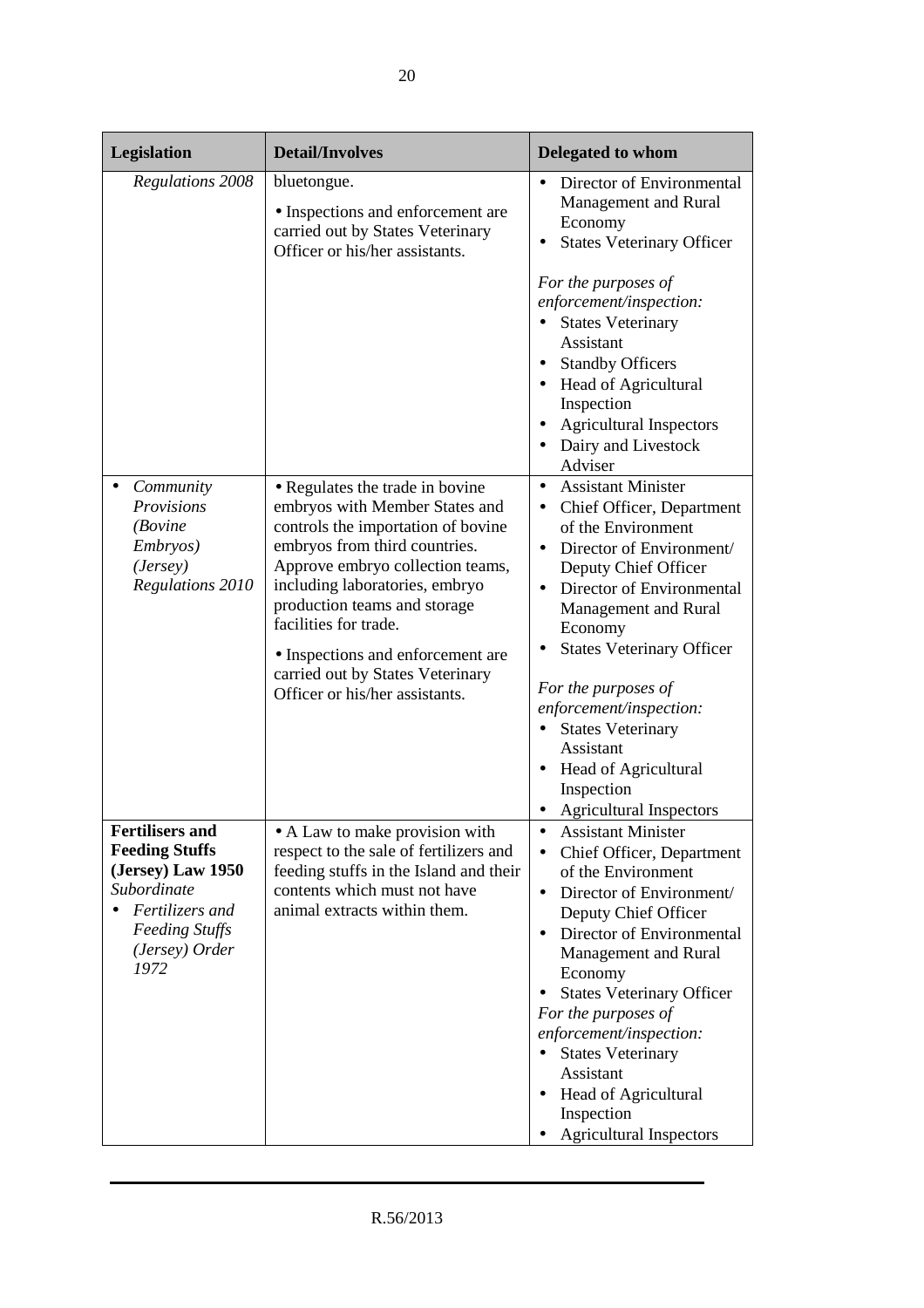| Legislation                                                                                                                                               | <b>Detail/Involves</b>                                                                                                                                                                                                                                                                                                                                                             | Delegated to whom                                                                                                                                                                                                                                                                                                                                                                                                                                                          |
|-----------------------------------------------------------------------------------------------------------------------------------------------------------|------------------------------------------------------------------------------------------------------------------------------------------------------------------------------------------------------------------------------------------------------------------------------------------------------------------------------------------------------------------------------------|----------------------------------------------------------------------------------------------------------------------------------------------------------------------------------------------------------------------------------------------------------------------------------------------------------------------------------------------------------------------------------------------------------------------------------------------------------------------------|
| <b>Regulations 2008</b>                                                                                                                                   | bluetongue.<br>• Inspections and enforcement are<br>carried out by States Veterinary<br>Officer or his/her assistants.                                                                                                                                                                                                                                                             | Director of Environmental<br>Management and Rural<br>Economy<br><b>States Veterinary Officer</b><br>For the purposes of<br>enforcement/inspection:<br><b>States Veterinary</b><br>Assistant                                                                                                                                                                                                                                                                                |
|                                                                                                                                                           |                                                                                                                                                                                                                                                                                                                                                                                    | <b>Standby Officers</b><br>Head of Agricultural<br>Inspection<br><b>Agricultural Inspectors</b><br>Dairy and Livestock<br>Adviser                                                                                                                                                                                                                                                                                                                                          |
| Community<br>Provisions<br>(Bovine<br>Embryos)<br>(Jersey)<br>Regulations 2010                                                                            | • Regulates the trade in bovine<br>embryos with Member States and<br>controls the importation of bovine<br>embryos from third countries.<br>Approve embryo collection teams,<br>including laboratories, embryo<br>production teams and storage<br>facilities for trade.<br>• Inspections and enforcement are<br>carried out by States Veterinary<br>Officer or his/her assistants. | <b>Assistant Minister</b><br>$\bullet$<br>Chief Officer, Department<br>of the Environment<br>Director of Environment/<br>Deputy Chief Officer<br>Director of Environmental<br>Management and Rural<br>Economy<br><b>States Veterinary Officer</b><br>For the purposes of<br>enforcement/inspection:<br><b>States Veterinary</b><br>$\bullet$<br>Assistant<br><b>Head of Agricultural</b><br>Inspection<br><b>Agricultural Inspectors</b>                                   |
| <b>Fertilisers and</b><br><b>Feeding Stuffs</b><br>(Jersey) Law 1950<br>Subordinate<br>Fertilizers and<br><b>Feeding Stuffs</b><br>(Jersey) Order<br>1972 | • A Law to make provision with<br>respect to the sale of fertilizers and<br>feeding stuffs in the Island and their<br>contents which must not have<br>animal extracts within them.                                                                                                                                                                                                 | <b>Assistant Minister</b><br>$\bullet$<br>Chief Officer, Department<br>$\bullet$<br>of the Environment<br>Director of Environment/<br>$\bullet$<br>Deputy Chief Officer<br>Director of Environmental<br>$\bullet$<br>Management and Rural<br>Economy<br><b>States Veterinary Officer</b><br>For the purposes of<br>enforcement/inspection:<br><b>States Veterinary</b><br>$\bullet$<br>Assistant<br>• Head of Agricultural<br>Inspection<br><b>Agricultural Inspectors</b> |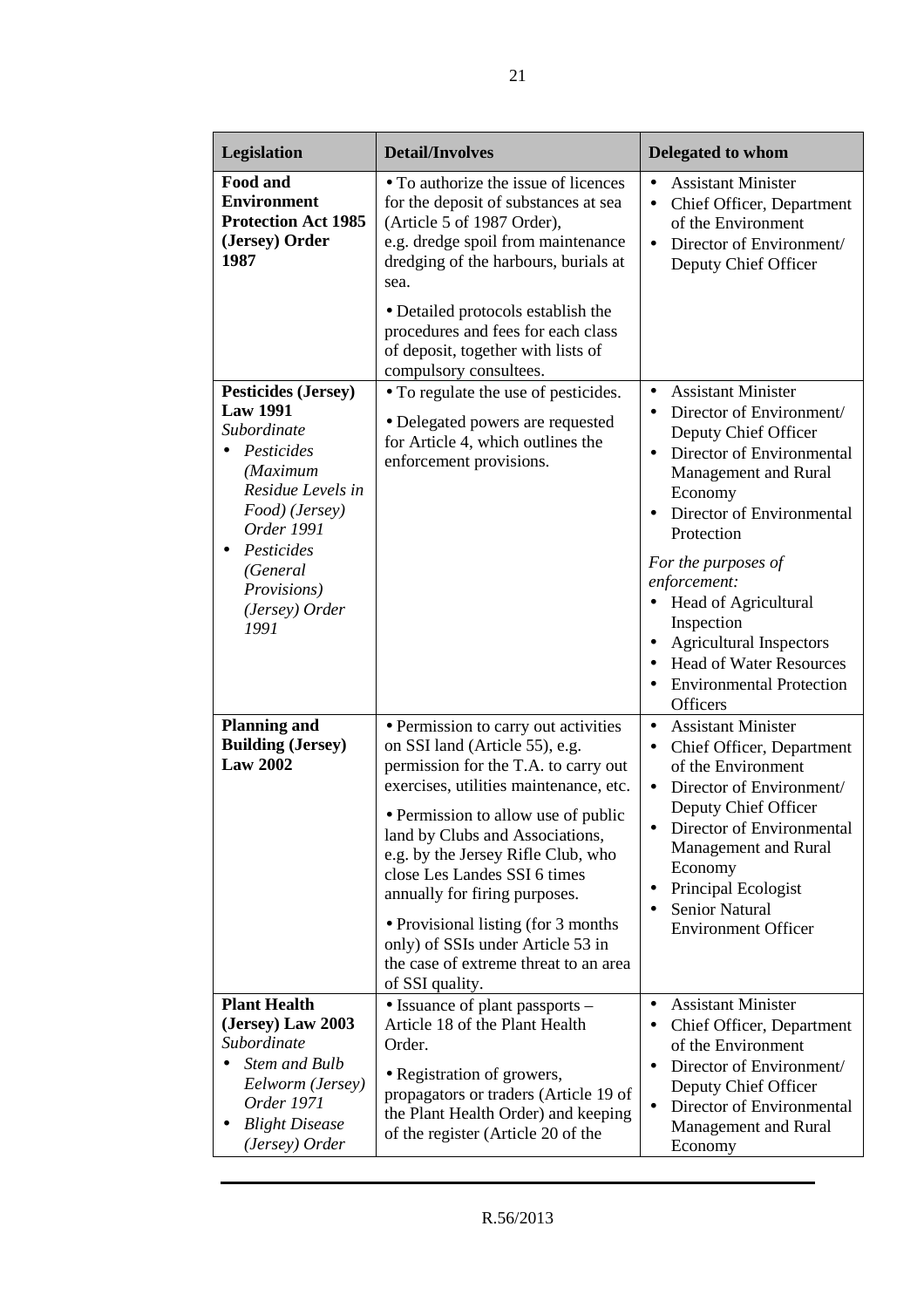| Legislation                                                                                                                                                                                                            | <b>Detail/Involves</b>                                                                                                                                                                                                                                                                                                                                                                                                                                                             | Delegated to whom                                                                                                                                                                                                                                                                                                                                                                                                                              |
|------------------------------------------------------------------------------------------------------------------------------------------------------------------------------------------------------------------------|------------------------------------------------------------------------------------------------------------------------------------------------------------------------------------------------------------------------------------------------------------------------------------------------------------------------------------------------------------------------------------------------------------------------------------------------------------------------------------|------------------------------------------------------------------------------------------------------------------------------------------------------------------------------------------------------------------------------------------------------------------------------------------------------------------------------------------------------------------------------------------------------------------------------------------------|
| Food and<br><b>Environment</b><br><b>Protection Act 1985</b><br>(Jersey) Order<br>1987                                                                                                                                 | • To authorize the issue of licences<br>for the deposit of substances at sea<br>(Article 5 of 1987 Order),<br>e.g. dredge spoil from maintenance<br>dredging of the harbours, burials at<br>sea.<br>• Detailed protocols establish the<br>procedures and fees for each class<br>of deposit, together with lists of<br>compulsory consultees.                                                                                                                                       | <b>Assistant Minister</b><br>$\bullet$<br>Chief Officer, Department<br>$\bullet$<br>of the Environment<br>Director of Environment/<br>$\bullet$<br>Deputy Chief Officer                                                                                                                                                                                                                                                                        |
| <b>Pesticides (Jersey)</b><br><b>Law 1991</b><br>Subordinate<br>Pesticides<br>(Maximum<br>Residue Levels in<br>Food) (Jersey)<br>Order 1991<br>Pesticides<br>(General<br><i>Provisions</i> )<br>(Jersey) Order<br>1991 | • To regulate the use of pesticides.<br>• Delegated powers are requested<br>for Article 4, which outlines the<br>enforcement provisions.                                                                                                                                                                                                                                                                                                                                           | <b>Assistant Minister</b><br>$\bullet$<br>Director of Environment/<br>$\bullet$<br>Deputy Chief Officer<br>Director of Environmental<br>$\bullet$<br>Management and Rural<br>Economy<br>Director of Environmental<br>Protection<br>For the purposes of<br>enforcement:<br>• Head of Agricultural<br>Inspection<br><b>Agricultural Inspectors</b><br><b>Head of Water Resources</b><br><b>Environmental Protection</b><br>$\bullet$<br>Officers |
| <b>Planning and</b><br><b>Building (Jersey)</b><br><b>Law 2002</b>                                                                                                                                                     | • Permission to carry out activities<br>on SSI land (Article 55), e.g.<br>permission for the T.A. to carry out<br>exercises, utilities maintenance, etc.<br>• Permission to allow use of public<br>land by Clubs and Associations,<br>e.g. by the Jersey Rifle Club, who<br>close Les Landes SSI 6 times<br>annually for firing purposes.<br>• Provisional listing (for 3 months)<br>only) of SSIs under Article 53 in<br>the case of extreme threat to an area<br>of SSI quality. | <b>Assistant Minister</b><br>$\bullet$<br>Chief Officer, Department<br>$\bullet$<br>of the Environment<br>Director of Environment/<br>$\bullet$<br>Deputy Chief Officer<br>Director of Environmental<br>Management and Rural<br>Economy<br>Principal Ecologist<br>٠<br><b>Senior Natural</b><br><b>Environment Officer</b>                                                                                                                     |
| <b>Plant Health</b><br>(Jersey) Law 2003<br>Subordinate<br><b>Stem and Bulb</b><br>Eelworm (Jersey)<br>Order 1971<br><b>Blight Disease</b><br>(Jersey) Order                                                           | $\bullet$ Issuance of plant passports $-$<br>Article 18 of the Plant Health<br>Order.<br>· Registration of growers,<br>propagators or traders (Article 19 of<br>the Plant Health Order) and keeping<br>of the register (Article 20 of the                                                                                                                                                                                                                                          | <b>Assistant Minister</b><br>$\bullet$<br>Chief Officer, Department<br>of the Environment<br>Director of Environment/<br>$\bullet$<br>Deputy Chief Officer<br>Director of Environmental<br>$\bullet$<br>Management and Rural<br>Economy                                                                                                                                                                                                        |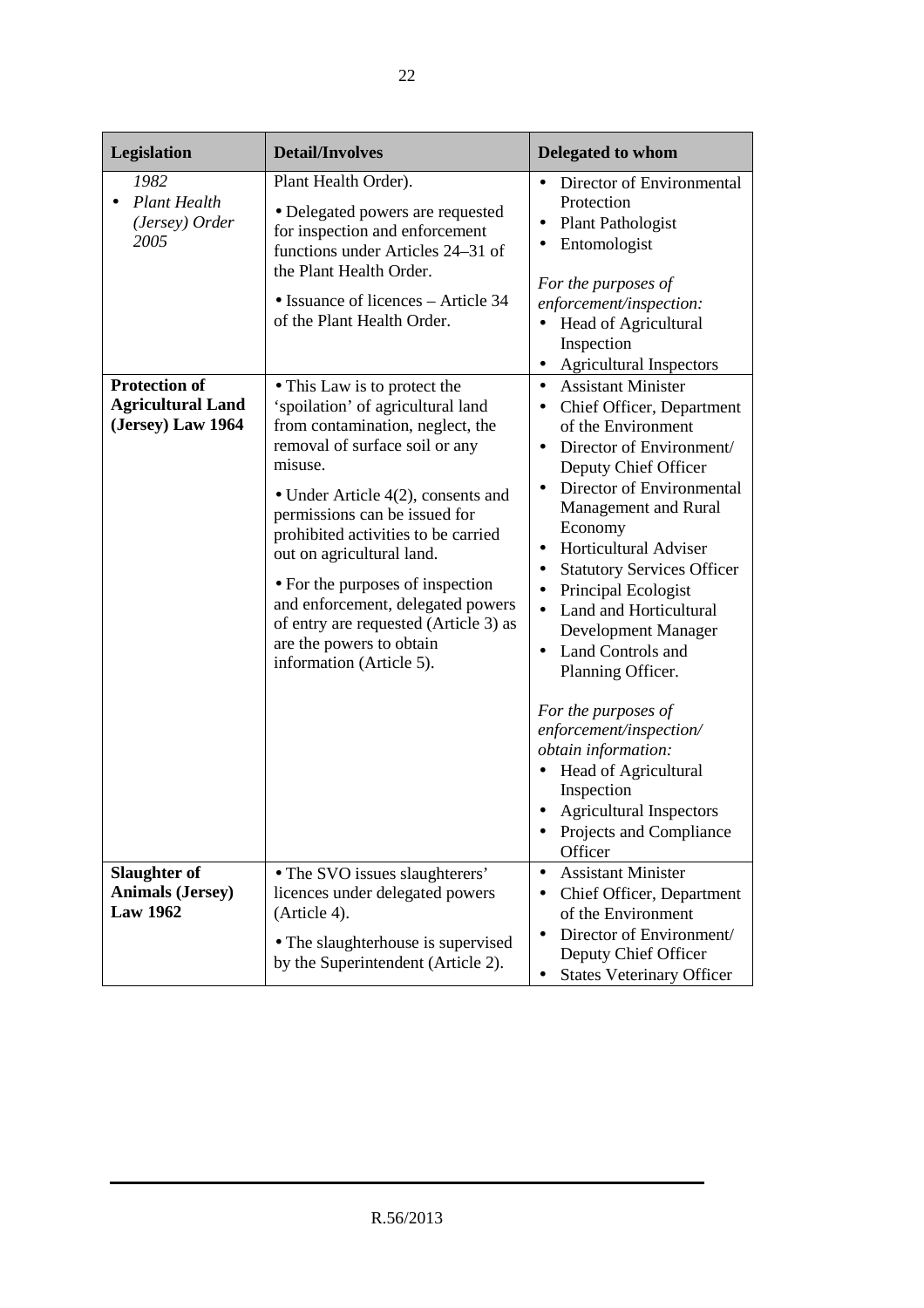| Legislation                                                           | <b>Detail/Involves</b>                                                                                                                                                                                                                                                                                                                                                                                                                                                     | <b>Delegated to whom</b>                                                                                                                                                                                                                                                                                                                                                                                                                                                                                                                                                                                                                                           |
|-----------------------------------------------------------------------|----------------------------------------------------------------------------------------------------------------------------------------------------------------------------------------------------------------------------------------------------------------------------------------------------------------------------------------------------------------------------------------------------------------------------------------------------------------------------|--------------------------------------------------------------------------------------------------------------------------------------------------------------------------------------------------------------------------------------------------------------------------------------------------------------------------------------------------------------------------------------------------------------------------------------------------------------------------------------------------------------------------------------------------------------------------------------------------------------------------------------------------------------------|
| 1982<br><b>Plant Health</b><br>(Jersey) Order<br>2005                 | Plant Health Order).<br>• Delegated powers are requested<br>for inspection and enforcement<br>functions under Articles 24–31 of<br>the Plant Health Order.<br>• Issuance of licences – Article 34<br>of the Plant Health Order.                                                                                                                                                                                                                                            | Director of Environmental<br>Protection<br><b>Plant Pathologist</b><br>٠<br>Entomologist<br>For the purposes of<br>enforcement/inspection:<br>Head of Agricultural<br>Inspection<br><b>Agricultural Inspectors</b><br>٠                                                                                                                                                                                                                                                                                                                                                                                                                                            |
| <b>Protection of</b><br><b>Agricultural Land</b><br>(Jersey) Law 1964 | • This Law is to protect the<br>'spoilation' of agricultural land<br>from contamination, neglect, the<br>removal of surface soil or any<br>misuse.<br>• Under Article $4(2)$ , consents and<br>permissions can be issued for<br>prohibited activities to be carried<br>out on agricultural land.<br>• For the purposes of inspection<br>and enforcement, delegated powers<br>of entry are requested (Article 3) as<br>are the powers to obtain<br>information (Article 5). | <b>Assistant Minister</b><br>$\bullet$<br>Chief Officer, Department<br>$\bullet$<br>of the Environment<br>Director of Environment/<br>$\bullet$<br>Deputy Chief Officer<br>Director of Environmental<br>Management and Rural<br>Economy<br>Horticultural Adviser<br>$\bullet$<br><b>Statutory Services Officer</b><br>$\bullet$<br>Principal Ecologist<br>$\bullet$<br>Land and Horticultural<br>Development Manager<br>Land Controls and<br>$\bullet$<br>Planning Officer.<br>For the purposes of<br>enforcement/inspection/<br>obtain information:<br>Head of Agricultural<br>Inspection<br><b>Agricultural Inspectors</b><br>Projects and Compliance<br>Officer |
| Slaughter of<br><b>Animals (Jersey)</b><br><b>Law 1962</b>            | • The SVO issues slaughterers'<br>licences under delegated powers<br>(Article 4).<br>• The slaughterhouse is supervised<br>by the Superintendent (Article 2).                                                                                                                                                                                                                                                                                                              | <b>Assistant Minister</b><br>$\bullet$<br>Chief Officer, Department<br>٠<br>of the Environment<br>Director of Environment/<br>Deputy Chief Officer<br><b>States Veterinary Officer</b>                                                                                                                                                                                                                                                                                                                                                                                                                                                                             |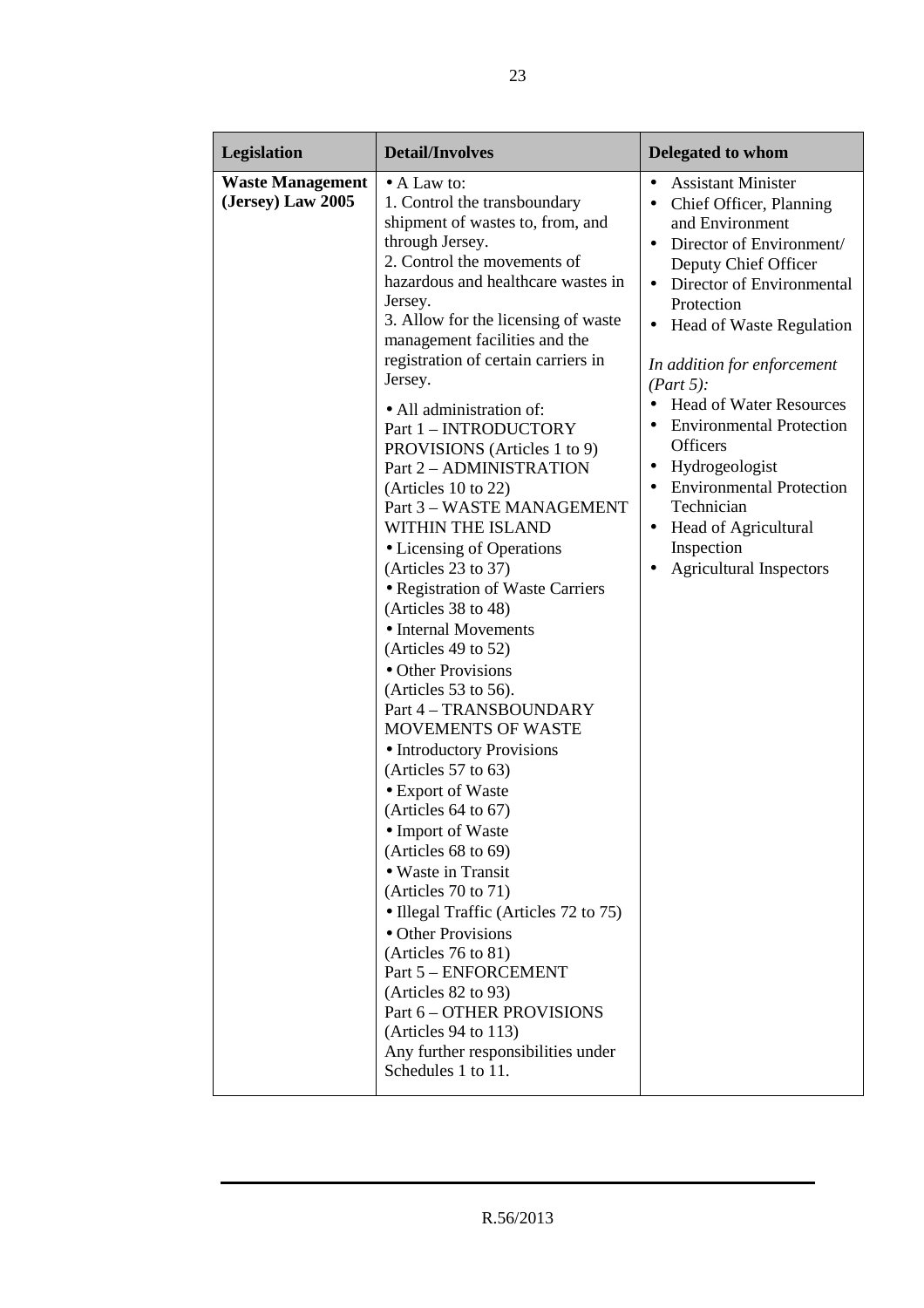| Legislation                                  | <b>Detail/Involves</b>                                                                                                                                                                                                                                                                                                                                                                                                                                                                                                                                                                                                                                                                                                                                                                                                                                                                                                                                                                                                                                                                                                                                                                                                                              | <b>Delegated to whom</b>                                                                                                                                                                                                                                                                                                                                                                                                                                                                                                                                                                 |
|----------------------------------------------|-----------------------------------------------------------------------------------------------------------------------------------------------------------------------------------------------------------------------------------------------------------------------------------------------------------------------------------------------------------------------------------------------------------------------------------------------------------------------------------------------------------------------------------------------------------------------------------------------------------------------------------------------------------------------------------------------------------------------------------------------------------------------------------------------------------------------------------------------------------------------------------------------------------------------------------------------------------------------------------------------------------------------------------------------------------------------------------------------------------------------------------------------------------------------------------------------------------------------------------------------------|------------------------------------------------------------------------------------------------------------------------------------------------------------------------------------------------------------------------------------------------------------------------------------------------------------------------------------------------------------------------------------------------------------------------------------------------------------------------------------------------------------------------------------------------------------------------------------------|
| <b>Waste Management</b><br>(Jersey) Law 2005 | $\bullet$ A Law to:<br>1. Control the transboundary<br>shipment of wastes to, from, and<br>through Jersey.<br>2. Control the movements of<br>hazardous and healthcare wastes in<br>Jersey.<br>3. Allow for the licensing of waste<br>management facilities and the<br>registration of certain carriers in<br>Jersey.<br>• All administration of:<br>Part 1 - INTRODUCTORY<br>PROVISIONS (Articles 1 to 9)<br>Part 2 - ADMINISTRATION<br>(Articles $10$ to $22$ )<br>Part 3 - WASTE MANAGEMENT<br>WITHIN THE ISLAND<br>• Licensing of Operations<br>(Articles 23 to 37)<br>• Registration of Waste Carriers<br>(Articles 38 to 48)<br>• Internal Movements<br>(Articles 49 to 52)<br>• Other Provisions<br>(Articles $53$ to $56$ ).<br>Part 4 - TRANSBOUNDARY<br><b>MOVEMENTS OF WASTE</b><br>• Introductory Provisions<br>(Articles 57 to 63)<br>• Export of Waste<br>(Articles 64 to 67)<br>• Import of Waste<br>(Articles 68 to 69)<br>• Waste in Transit<br>(Articles 70 to 71)<br>• Illegal Traffic (Articles 72 to 75)<br>• Other Provisions<br>(Articles $76$ to $81$ )<br>Part 5 - ENFORCEMENT<br>(Articles 82 to 93)<br>Part 6 - OTHER PROVISIONS<br>(Articles $94$ to $113$ )<br>Any further responsibilities under<br>Schedules 1 to 11. | <b>Assistant Minister</b><br>$\bullet$<br>Chief Officer, Planning<br>$\bullet$<br>and Environment<br>Director of Environment/<br>Deputy Chief Officer<br>Director of Environmental<br>$\bullet$<br>Protection<br>Head of Waste Regulation<br>$\bullet$<br>In addition for enforcement<br>(Part 5):<br><b>Head of Water Resources</b><br><b>Environmental Protection</b><br>$\bullet$<br><b>Officers</b><br>Hydrogeologist<br>$\bullet$<br><b>Environmental Protection</b><br>Technician<br><b>Head of Agricultural</b><br>$\bullet$<br>Inspection<br><b>Agricultural Inspectors</b><br>٠ |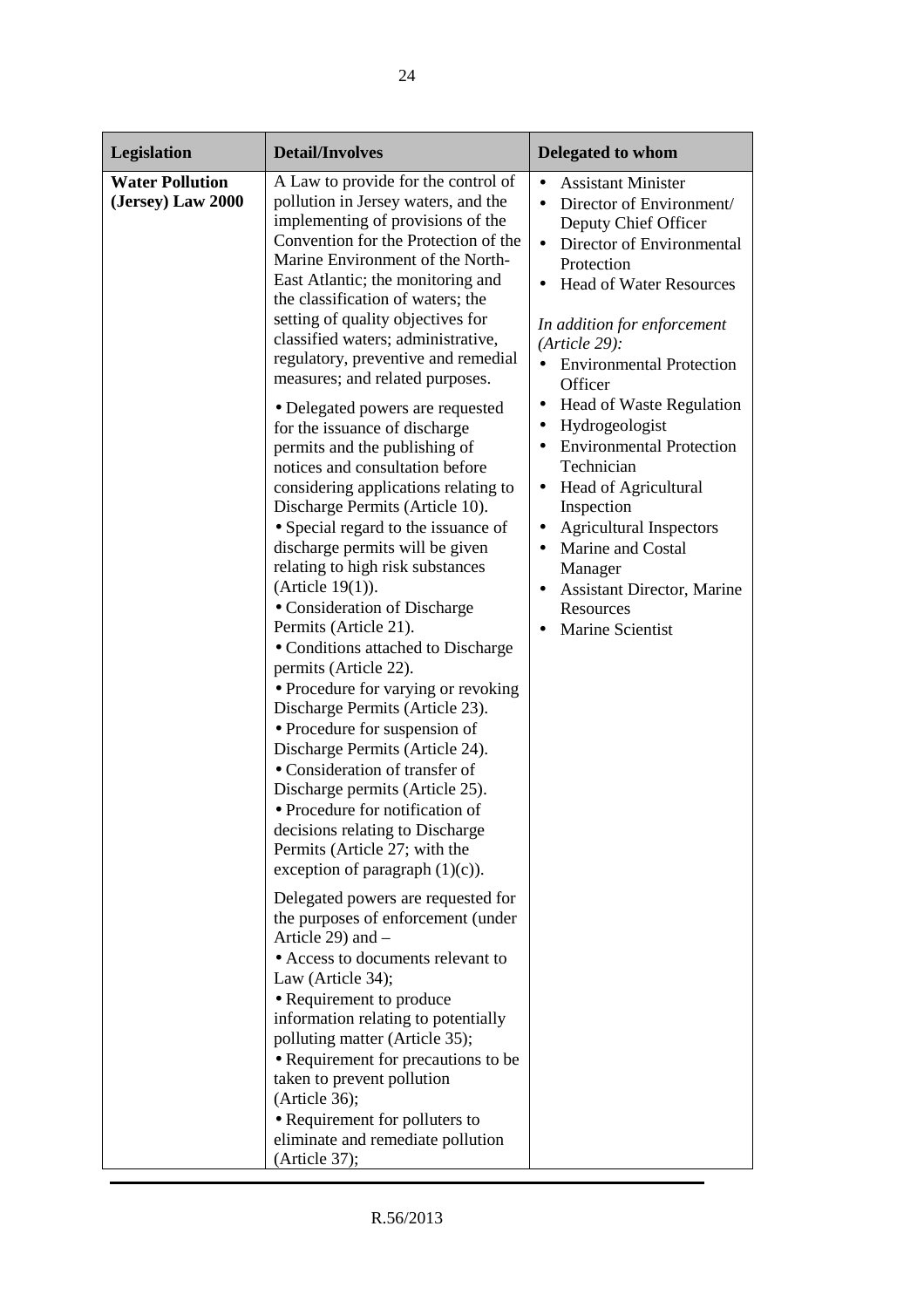| Legislation                                 | <b>Detail/Involves</b>                                                                                                                                                                                                                                                                                                                                                                                                                                                                                                                                                                                                                                                                                                                                                                                                                                                                                                                                                                                                                                                                                                                                                                                                                                                                                                                                                                                                                                                                                                                                                                                                                                                                                                      | <b>Delegated to whom</b>                                                                                                                                                                                                                                                                                                                                                                                                                                                                                                                                                                                                                        |
|---------------------------------------------|-----------------------------------------------------------------------------------------------------------------------------------------------------------------------------------------------------------------------------------------------------------------------------------------------------------------------------------------------------------------------------------------------------------------------------------------------------------------------------------------------------------------------------------------------------------------------------------------------------------------------------------------------------------------------------------------------------------------------------------------------------------------------------------------------------------------------------------------------------------------------------------------------------------------------------------------------------------------------------------------------------------------------------------------------------------------------------------------------------------------------------------------------------------------------------------------------------------------------------------------------------------------------------------------------------------------------------------------------------------------------------------------------------------------------------------------------------------------------------------------------------------------------------------------------------------------------------------------------------------------------------------------------------------------------------------------------------------------------------|-------------------------------------------------------------------------------------------------------------------------------------------------------------------------------------------------------------------------------------------------------------------------------------------------------------------------------------------------------------------------------------------------------------------------------------------------------------------------------------------------------------------------------------------------------------------------------------------------------------------------------------------------|
| <b>Water Pollution</b><br>(Jersey) Law 2000 | A Law to provide for the control of<br>pollution in Jersey waters, and the<br>implementing of provisions of the<br>Convention for the Protection of the<br>Marine Environment of the North-<br>East Atlantic; the monitoring and<br>the classification of waters; the<br>setting of quality objectives for<br>classified waters; administrative,<br>regulatory, preventive and remedial<br>measures; and related purposes.<br>• Delegated powers are requested<br>for the issuance of discharge<br>permits and the publishing of<br>notices and consultation before<br>considering applications relating to<br>Discharge Permits (Article 10).<br>• Special regard to the issuance of<br>discharge permits will be given<br>relating to high risk substances<br>(Article $19(1)$ ).<br>• Consideration of Discharge<br>Permits (Article 21).<br>• Conditions attached to Discharge<br>permits (Article 22).<br>• Procedure for varying or revoking<br>Discharge Permits (Article 23).<br>• Procedure for suspension of<br>Discharge Permits (Article 24).<br>• Consideration of transfer of<br>Discharge permits (Article 25).<br>• Procedure for notification of<br>decisions relating to Discharge<br>Permits (Article 27; with the<br>exception of paragraph $(1)(c)$ ).<br>Delegated powers are requested for<br>the purposes of enforcement (under<br>Article 29) and $-$<br>• Access to documents relevant to<br>Law (Article 34);<br>• Requirement to produce<br>information relating to potentially<br>polluting matter (Article 35);<br>• Requirement for precautions to be<br>taken to prevent pollution<br>(Article 36);<br>• Requirement for polluters to<br>eliminate and remediate pollution<br>(Article 37); | <b>Assistant Minister</b><br>Director of Environment/<br>$\bullet$<br>Deputy Chief Officer<br>Director of Environmental<br>$\bullet$<br>Protection<br><b>Head of Water Resources</b><br>In addition for enforcement<br>$(Article 29)$ :<br><b>Environmental Protection</b><br>$\bullet$<br>Officer<br><b>Head of Waste Regulation</b><br>٠<br>Hydrogeologist<br><b>Environmental Protection</b><br>$\bullet$<br>Technician<br>Head of Agricultural<br>$\bullet$<br>Inspection<br><b>Agricultural Inspectors</b><br>$\bullet$<br>Marine and Costal<br>$\bullet$<br>Manager<br>Assistant Director, Marine<br>Resources<br><b>Marine Scientist</b> |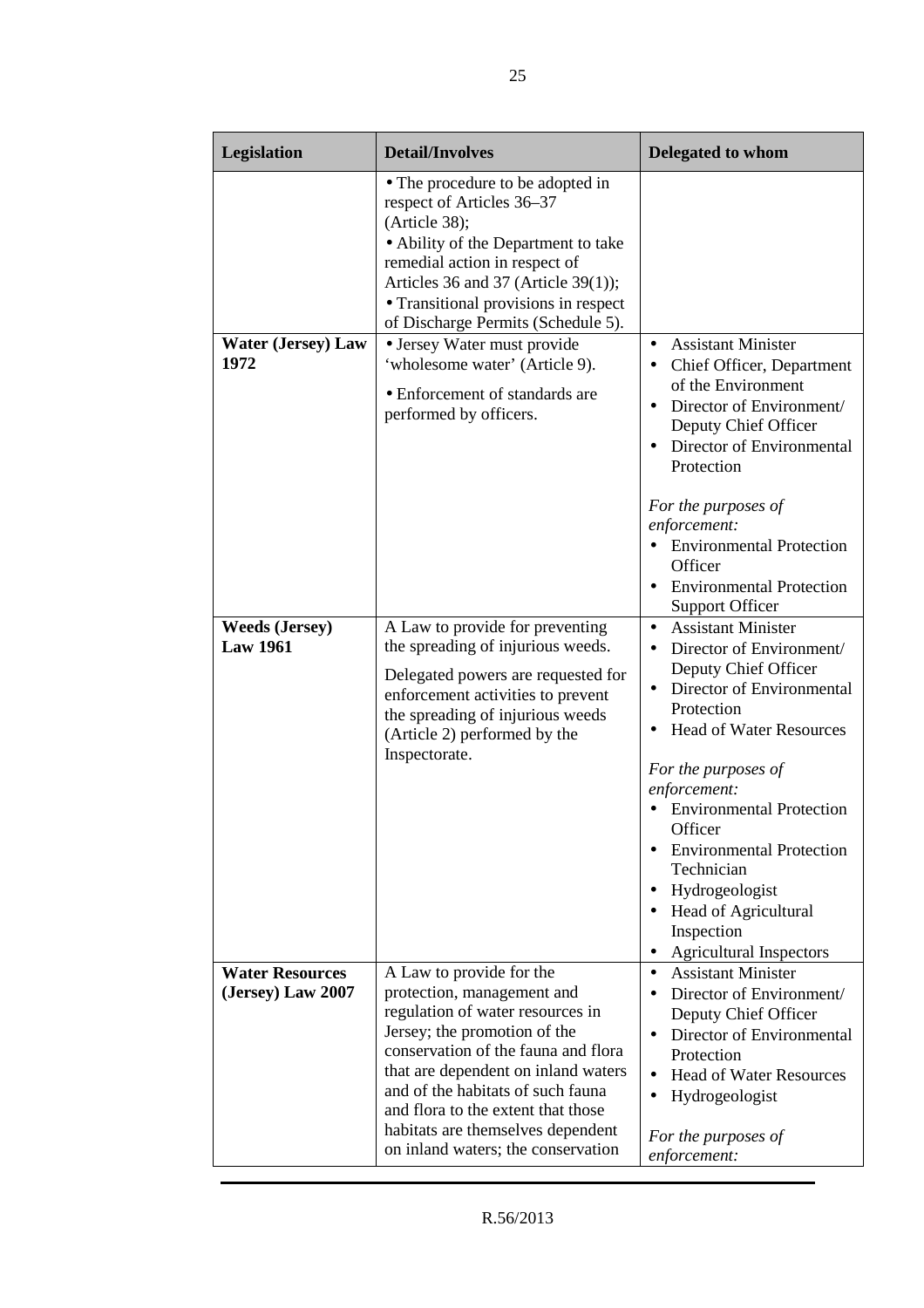| Legislation                                 | <b>Detail/Involves</b>                                                                                                                                                                                                                                                                                                                                         | <b>Delegated to whom</b>                                                                                                                                                                                                                                                                                                                                                                                                            |
|---------------------------------------------|----------------------------------------------------------------------------------------------------------------------------------------------------------------------------------------------------------------------------------------------------------------------------------------------------------------------------------------------------------------|-------------------------------------------------------------------------------------------------------------------------------------------------------------------------------------------------------------------------------------------------------------------------------------------------------------------------------------------------------------------------------------------------------------------------------------|
|                                             | • The procedure to be adopted in<br>respect of Articles 36-37<br>(Article 38);<br>• Ability of the Department to take<br>remedial action in respect of<br>Articles 36 and 37 (Article 39(1));<br>• Transitional provisions in respect<br>of Discharge Permits (Schedule 5).                                                                                    |                                                                                                                                                                                                                                                                                                                                                                                                                                     |
| <b>Water (Jersey) Law</b><br>1972           | • Jersey Water must provide<br>'wholesome water' (Article 9).<br>• Enforcement of standards are<br>performed by officers.                                                                                                                                                                                                                                      | <b>Assistant Minister</b><br>$\bullet$<br>Chief Officer, Department<br>of the Environment<br>Director of Environment/<br>Deputy Chief Officer<br>Director of Environmental<br>Protection                                                                                                                                                                                                                                            |
|                                             |                                                                                                                                                                                                                                                                                                                                                                | For the purposes of<br>enforcement:<br>• Environmental Protection<br>Officer<br><b>Environmental Protection</b><br><b>Support Officer</b>                                                                                                                                                                                                                                                                                           |
| <b>Weeds (Jersey)</b><br><b>Law 1961</b>    | A Law to provide for preventing<br>the spreading of injurious weeds.<br>Delegated powers are requested for<br>enforcement activities to prevent<br>the spreading of injurious weeds<br>(Article 2) performed by the<br>Inspectorate.                                                                                                                           | <b>Assistant Minister</b><br>$\bullet$<br>Director of Environment/<br>$\bullet$<br>Deputy Chief Officer<br>Director of Environmental<br>Protection<br><b>Head of Water Resources</b><br>For the purposes of<br>enforcement:<br>• Environmental Protection<br>Officer<br><b>Environmental Protection</b><br>Technician<br>Hydrogeologist<br>$\bullet$<br><b>Head of Agricultural</b><br>Inspection<br><b>Agricultural Inspectors</b> |
| <b>Water Resources</b><br>(Jersey) Law 2007 | A Law to provide for the<br>protection, management and<br>regulation of water resources in<br>Jersey; the promotion of the<br>conservation of the fauna and flora<br>that are dependent on inland waters<br>and of the habitats of such fauna<br>and flora to the extent that those<br>habitats are themselves dependent<br>on inland waters; the conservation | <b>Assistant Minister</b><br>$\bullet$<br>Director of Environment/<br>Deputy Chief Officer<br>Director of Environmental<br>Protection<br><b>Head of Water Resources</b><br>$\bullet$<br>Hydrogeologist<br>$\bullet$<br>For the purposes of<br>enforcement:                                                                                                                                                                          |